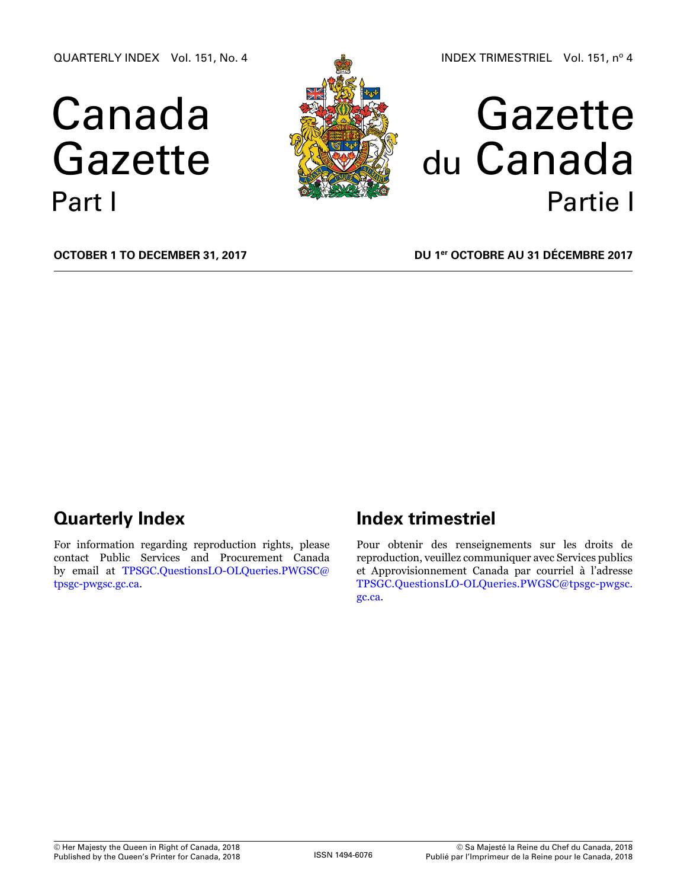QUARTERLY INDEX Vol. 151, No. 4

# Canada Gazette Part I



# Gazette du Canada Partie I

**October 1 to December 31, 2017**

**DU 1er octobre au 31 décembre 2017**

# **Quarterly Index**

For information regarding reproduction rights, please contact Public Services and Procurement Canada by email at [TPSGC.QuestionsLO-OLQueries.PWGSC@](mailto:TPSGC.QuestionsLO-OLQueries.PWGSC%40tpsgc-pwgsc.gc.ca?subject=) [tpsgc-pwgsc.gc.ca](mailto:TPSGC.QuestionsLO-OLQueries.PWGSC%40tpsgc-pwgsc.gc.ca?subject=).

# **Index trimestriel**

Pour obtenir des renseignements sur les droits de reproduction, veuillez communiquer avec Services publics et Approvisionnement Canada par courriel à l'adresse [TPSGC.QuestionsLO-OLQueries.PWGSC@tpsgc-pwgsc.](mailto:TPSGC.QuestionsLO-OLQueries.PWGSC%40tpsgc-pwgsc.gc.ca?subject=) [gc.ca](mailto:TPSGC.QuestionsLO-OLQueries.PWGSC%40tpsgc-pwgsc.gc.ca?subject=).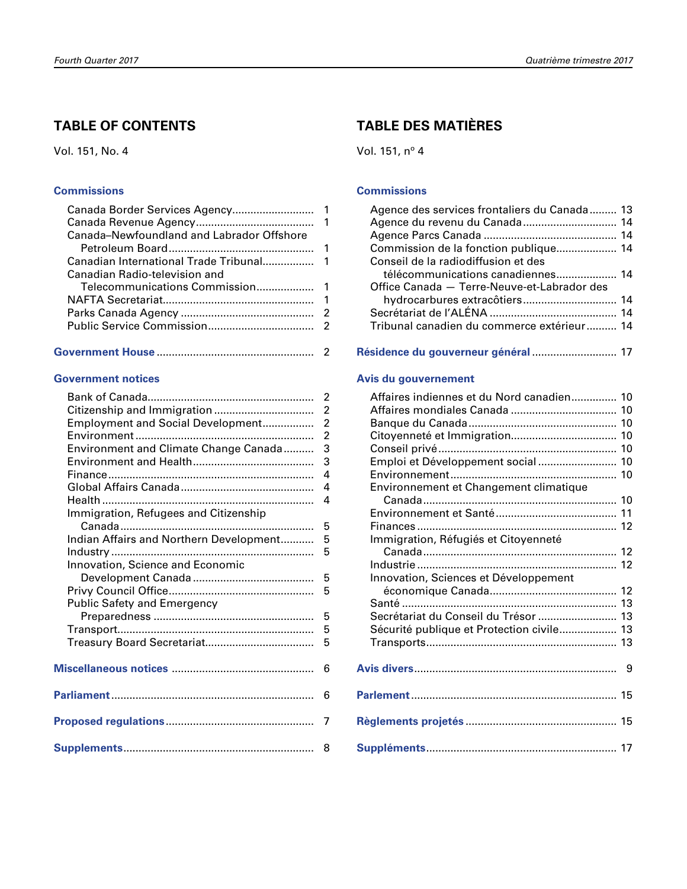# **TABLE OF CONTENTS**

Vol. 151, No. 4

#### **[Commissions](#page-2-0)**

|--|--|

### **[Government notices](#page-3-0)**

| Employment and Social Development       | $\overline{2}$ |
|-----------------------------------------|----------------|
|                                         | $\overline{2}$ |
| Environment and Climate Change Canada   | 3              |
|                                         | 3              |
|                                         | 4              |
|                                         | $\overline{4}$ |
|                                         | $\overline{4}$ |
| Immigration, Refugees and Citizenship   |                |
|                                         | 5              |
| Indian Affairs and Northern Development | 5              |
|                                         | 5              |
| Innovation, Science and Economic        |                |
|                                         | 5              |
|                                         | 5              |
| Public Safety and Emergency             |                |
|                                         | 5              |
|                                         | 5              |
|                                         | 5              |
|                                         |                |
|                                         | 6              |
|                                         |                |
|                                         | 6              |
|                                         |                |
|                                         |                |
|                                         |                |
|                                         |                |
|                                         |                |

# **TABLE DES MATIÈRES**

Vol. 151, nº 4

#### **[Commissions](#page-14-0)**

| Agence des services frontaliers du Canada  13 |  |
|-----------------------------------------------|--|
|                                               |  |
|                                               |  |
| Commission de la fonction publique 14         |  |
| Conseil de la radiodiffusion et des           |  |
| télécommunications canadiennes 14             |  |
| Office Canada - Terre-Neuve-et-Labrador des   |  |
|                                               |  |
|                                               |  |
| Tribunal canadien du commerce extérieur 14    |  |
|                                               |  |

#### **[Résidence du gouverneur général](#page-18-0)** ............................ 17

#### **[Avis du gouvernement](#page-11-0)**

| Affaires indiennes et du Nord canadien 10 |  |
|-------------------------------------------|--|
|                                           |  |
|                                           |  |
|                                           |  |
|                                           |  |
| Emploi et Développement social 10         |  |
|                                           |  |
| Environnement et Changement climatique    |  |
|                                           |  |
|                                           |  |
|                                           |  |
| Immigration, Réfugiés et Citoyenneté      |  |
|                                           |  |
|                                           |  |
| Innovation, Sciences et Développement     |  |
|                                           |  |
|                                           |  |
| Secrétariat du Conseil du Trésor  13      |  |
| Sécurité publique et Protection civile 13 |  |
|                                           |  |
|                                           |  |
|                                           |  |
|                                           |  |
|                                           |  |
|                                           |  |
|                                           |  |
|                                           |  |
|                                           |  |
|                                           |  |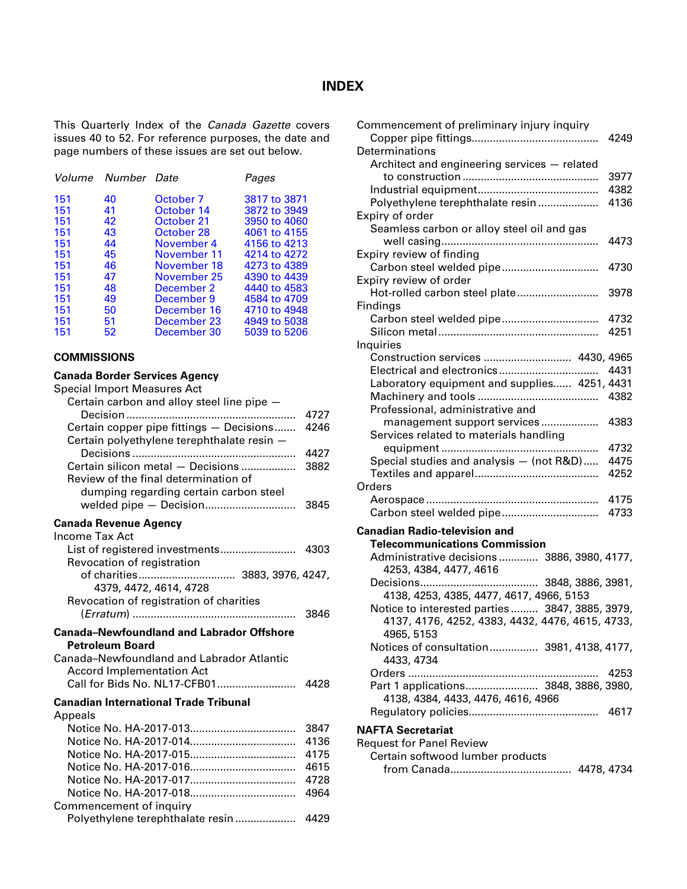### **INDEX**

<span id="page-2-0"></span>This Quarterly Index of the *Canada Gazette* covers issues 40 to 52. For reference purposes, the date and page numbers of these issues are set out below.

| Volume | Number Date |             | Pages        |
|--------|-------------|-------------|--------------|
| 151    | 40          | October 7   | 3817 to 3871 |
| 151    | 41          | October 14  | 3872 to 3949 |
| 151    | 42          | October 21  | 3950 to 4060 |
| 151    | 43          | October 28  | 4061 to 4155 |
| 151    | 44          | November 4  | 4156 to 4213 |
| 151    | 45          | November 11 | 4214 to 4272 |
| 151    | 46          | November 18 | 4273 to 4389 |
| 151    | 47          | November 25 | 4390 to 4439 |
| 151    | 48          | December 2  | 4440 to 4583 |
| 151    | 49          | December 9  | 4584 to 4709 |
| 151    | 50          | December 16 | 4710 to 4948 |
| 151    | 51          | December 23 | 4949 to 5038 |
| 151    | 52          | December 30 | 5039 to 5206 |

#### **COMMISSIONS**

#### **Canada Border Services Agency**

| <b>Special Import Measures Act</b>                                                                                                                                                                                                                                                                                                           |              |
|----------------------------------------------------------------------------------------------------------------------------------------------------------------------------------------------------------------------------------------------------------------------------------------------------------------------------------------------|--------------|
| Certain carbon and alloy steel line pipe -                                                                                                                                                                                                                                                                                                   |              |
|                                                                                                                                                                                                                                                                                                                                              | 4727<br>4246 |
| Certain copper pipe fittings - Decisions<br>Certain polyethylene terephthalate resin -                                                                                                                                                                                                                                                       |              |
|                                                                                                                                                                                                                                                                                                                                              | 4427         |
| Certain silicon metal - Decisions                                                                                                                                                                                                                                                                                                            | 3882         |
| Review of the final determination of                                                                                                                                                                                                                                                                                                         |              |
| dumping regarding certain carbon steel                                                                                                                                                                                                                                                                                                       |              |
|                                                                                                                                                                                                                                                                                                                                              | 3845         |
|                                                                                                                                                                                                                                                                                                                                              |              |
| <b>Canada Revenue Agency</b><br>Income Tax Act                                                                                                                                                                                                                                                                                               |              |
|                                                                                                                                                                                                                                                                                                                                              |              |
| Revocation of registration                                                                                                                                                                                                                                                                                                                   |              |
|                                                                                                                                                                                                                                                                                                                                              |              |
| 4379, 4472, 4614, 4728                                                                                                                                                                                                                                                                                                                       |              |
| Revocation of registration of charities                                                                                                                                                                                                                                                                                                      |              |
|                                                                                                                                                                                                                                                                                                                                              | 3846         |
| <b>Canada-Newfoundland and Labrador Offshore</b>                                                                                                                                                                                                                                                                                             |              |
| <b>Petroleum Board</b>                                                                                                                                                                                                                                                                                                                       |              |
| Canada-Newfoundland and Labrador Atlantic                                                                                                                                                                                                                                                                                                    |              |
| <b>Accord Implementation Act</b>                                                                                                                                                                                                                                                                                                             |              |
|                                                                                                                                                                                                                                                                                                                                              | 4428         |
| <b>Canadian International Trade Tribunal</b>                                                                                                                                                                                                                                                                                                 |              |
| Appeals                                                                                                                                                                                                                                                                                                                                      |              |
|                                                                                                                                                                                                                                                                                                                                              | 3847         |
|                                                                                                                                                                                                                                                                                                                                              | 4136         |
|                                                                                                                                                                                                                                                                                                                                              | 4175         |
|                                                                                                                                                                                                                                                                                                                                              | 4615         |
|                                                                                                                                                                                                                                                                                                                                              | 4728         |
|                                                                                                                                                                                                                                                                                                                                              |              |
| $\alpha$ as $\alpha$ as $\alpha$ as $\alpha$ as $\alpha$ as $\alpha$ is $\alpha$ is $\alpha$ in $\alpha$ is $\alpha$ is $\alpha$ is $\alpha$ is $\alpha$ is $\alpha$ is $\alpha$ is $\alpha$ is $\alpha$ is $\alpha$ is $\alpha$ is $\alpha$ is $\alpha$ is $\alpha$ is $\alpha$ is $\alpha$ is $\alpha$ is $\alpha$ is $\alpha$ is $\alpha$ | 4964         |

| Commencement of inquiry          |      |
|----------------------------------|------|
| Polyethylene terephthalate resin | 4429 |

| Commencement of preliminary injury inquiry      | 4249 |
|-------------------------------------------------|------|
| Determinations                                  |      |
| Architect and engineering services - related    |      |
|                                                 | 3977 |
|                                                 | 4382 |
| Polyethylene terephthalate resin                | 4136 |
| Expiry of order                                 |      |
| Seamless carbon or alloy steel oil and gas      |      |
|                                                 | 4473 |
| Expiry review of finding                        |      |
| Carbon steel welded pipe                        | 4730 |
| Expiry review of order                          |      |
| Hot-rolled carbon steel plate                   | 3978 |
| Findings                                        |      |
|                                                 | 4732 |
|                                                 | 4251 |
|                                                 |      |
| Inquiries                                       |      |
| Construction services  4430, 4965               | 4431 |
| Laboratory equipment and supplies 4251, 4431    |      |
|                                                 |      |
|                                                 |      |
| Professional, administrative and                |      |
| management support services                     | 4383 |
| Services related to materials handling          |      |
| .                                               | 4732 |
| Special studies and analysis - (not R&D)        | 4475 |
|                                                 | 4252 |
| Orders                                          |      |
|                                                 | 4175 |
|                                                 | 4733 |
| <b>Canadian Radio-television and</b>            |      |
| <b>Telecommunications Commission</b>            |      |
| Administrative decisions 3886, 3980, 4177,      |      |
| 4253, 4384, 4477, 4616                          |      |
| 3848, 3886, 3981,<br>Decisions<br>              |      |
| 4138, 4253, 4385, 4477, 4617, 4966, 5153        |      |
| Notice to interested parties 3847, 3885, 3979,  |      |
| 4137, 4176, 4252, 4383, 4432, 4476, 4615, 4733, |      |
| 4965, 5153                                      |      |
| Notices of consultation 3981, 4138, 4177,       |      |
| 4433, 4734                                      |      |
|                                                 | 4253 |
| Part 1 applications 3848, 3886, 3980,           |      |
| 4138, 4384, 4433, 4476, 4616, 4966              |      |
|                                                 | 4617 |
|                                                 |      |
| <b>NAFTA Secretariat</b>                        |      |
| <b>Request for Panel Review</b>                 |      |
| Certain softwood lumber products                |      |

from Canada........................................ 4478, 4734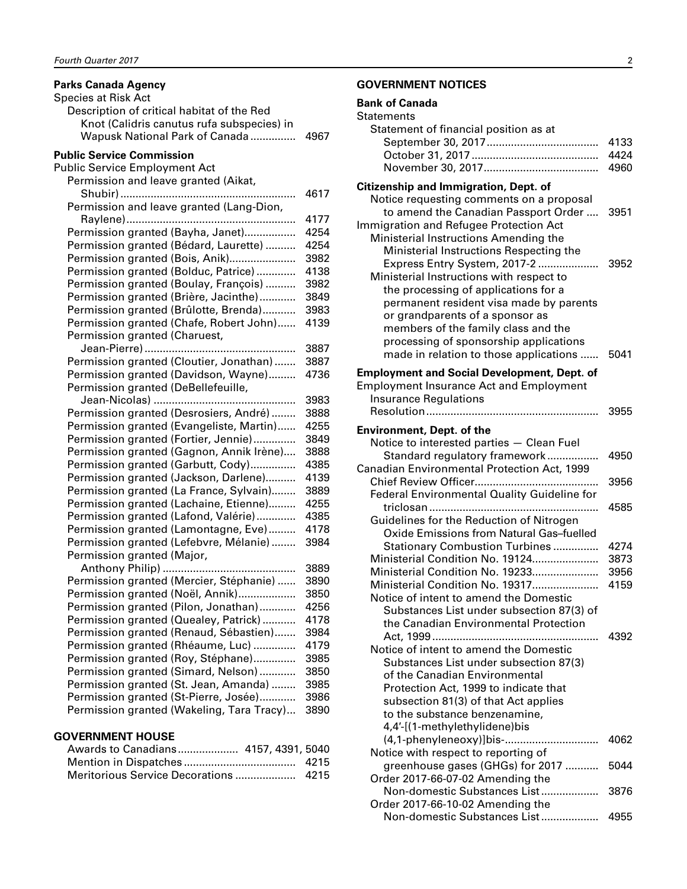#### <span id="page-3-0"></span>**Parks Canada Agency**

| Species at Risk Act                        |      |
|--------------------------------------------|------|
| Description of critical habitat of the Red |      |
| Knot (Calidris canutus rufa subspecies) in |      |
| Wapusk National Park of Canada             | 4967 |
|                                            |      |
| <b>Public Service Commission</b>           |      |
| <b>Public Service Employment Act</b>       |      |
| Permission and leave granted (Aikat,       |      |
|                                            | 4617 |
| Permission and leave granted (Lang-Dion,   |      |
|                                            | 4177 |
| Permission granted (Bayha, Janet)          | 4254 |
| Permission granted (Bédard, Laurette)      | 4254 |
| Permission granted (Bois, Anik)            | 3982 |
| Permission granted (Bolduc, Patrice)       | 4138 |
| Permission granted (Boulay, François)      | 3982 |
| Permission granted (Brière, Jacinthe)      | 3849 |
| Permission granted (Brûlotte, Brenda)      | 3983 |
| Permission granted (Chafe, Robert John)    | 4139 |
| Permission granted (Charuest,              |      |
|                                            | 3887 |
| Permission granted (Cloutier, Jonathan)    | 3887 |
| Permission granted (Davidson, Wayne)       | 4736 |
| Permission granted (DeBellefeuille,        |      |
|                                            | 3983 |
| Permission granted (Desrosiers, André)     | 3888 |
| Permission granted (Evangeliste, Martin)   | 4255 |
| Permission granted (Fortier, Jennie)       | 3849 |
| Permission granted (Gagnon, Annik Irène)   | 3888 |
| Permission granted (Garbutt, Cody)         | 4385 |
| Permission granted (Jackson, Darlene)      | 4139 |
| Permission granted (La France, Sylvain)    | 3889 |
| Permission granted (Lachaine, Etienne)     | 4255 |
| Permission granted (Lafond, Valérie)       | 4385 |
| Permission granted (Lamontagne, Eve)       | 4178 |
| Permission granted (Lefebvre, Mélanie)     | 3984 |
| Permission granted (Major,                 |      |
| Anthony Philip)<br>.                       | 3889 |
| Permission granted (Mercier, Stéphanie)    | 3890 |
| Permission granted (Noël, Annik)           | 3850 |
| Permission granted (Pilon, Jonathan)       | 4256 |
| Permission granted (Quealey, Patrick)      | 4178 |
| Permission granted (Renaud, Sébastien)     | 3984 |
| Permission granted (Rhéaume, Luc)          | 4179 |
| Permission granted (Roy, Stéphane)         | 3985 |
| Permission granted (Simard, Nelson)        | 3850 |
| Permission granted (St. Jean, Amanda)      | 3985 |
| Permission granted (St-Pierre, Josée)      | 3986 |
| Permission granted (Wakeling, Tara Tracy)  | 3890 |
|                                            |      |
| <b>GOVERNMENT HOUSE</b>                    |      |
|                                            |      |

| Awards to Canadians 4157, 4391, 5040 |  |
|--------------------------------------|--|
|                                      |  |
|                                      |  |

#### **GOVERNMENT NOTICES**

| <b>Bank of Canada</b><br>Statements                                                                                                                                                                                                                                             |                      |
|---------------------------------------------------------------------------------------------------------------------------------------------------------------------------------------------------------------------------------------------------------------------------------|----------------------|
| Statement of financial position as at                                                                                                                                                                                                                                           | 4133<br>4424<br>4960 |
| Citizenship and Immigration, Dept. of<br>Notice requesting comments on a proposal                                                                                                                                                                                               |                      |
| to amend the Canadian Passport Order<br>Immigration and Refugee Protection Act<br>Ministerial Instructions Amending the<br>Ministerial Instructions Respecting the                                                                                                              | 3951                 |
| Express Entry System, 2017-2<br>Ministerial Instructions with respect to<br>the processing of applications for a<br>permanent resident visa made by parents<br>or grandparents of a sponsor as<br>members of the family class and the<br>processing of sponsorship applications | 3952                 |
| made in relation to those applications                                                                                                                                                                                                                                          | 5041                 |
| <b>Employment and Social Development, Dept. of</b><br><b>Employment Insurance Act and Employment</b><br><b>Insurance Regulations</b>                                                                                                                                            |                      |
|                                                                                                                                                                                                                                                                                 | 3955                 |
| <b>Environment, Dept. of the</b><br>Notice to interested parties - Clean Fuel                                                                                                                                                                                                   |                      |
| Standard regulatory framework<br>Canadian Environmental Protection Act, 1999                                                                                                                                                                                                    | 4950                 |
| Federal Environmental Quality Guideline for                                                                                                                                                                                                                                     | 3956                 |
| triclosan<br>.<br>Guidelines for the Reduction of Nitrogen                                                                                                                                                                                                                      | 4585                 |
| Oxide Emissions from Natural Gas-fuelled<br><b>Stationary Combustion Turbines </b>                                                                                                                                                                                              | 4274                 |
| Ministerial Condition No. 19124                                                                                                                                                                                                                                                 | 3873                 |
| Ministerial Condition No. 19233                                                                                                                                                                                                                                                 | 3956                 |
| Ministerial Condition No. 19317<br>Notice of intent to amend the Domestic<br>Substances List under subsection 87(3) of                                                                                                                                                          | 4159                 |
| the Canadian Environmental Protection                                                                                                                                                                                                                                           | 4392                 |
| Notice of intent to amend the Domestic                                                                                                                                                                                                                                          |                      |
| Substances List under subsection 87(3)                                                                                                                                                                                                                                          |                      |
| of the Canadian Environmental                                                                                                                                                                                                                                                   |                      |
| Protection Act, 1999 to indicate that                                                                                                                                                                                                                                           |                      |
| subsection 81(3) of that Act applies                                                                                                                                                                                                                                            |                      |
| to the substance benzenamine,                                                                                                                                                                                                                                                   |                      |
| 4,4'-[(1-methylethylidene)bis                                                                                                                                                                                                                                                   |                      |
| $(1.1 \times \text{beam})$                                                                                                                                                                                                                                                      |                      |

| 4,4'-[(1-methylethylidene)bis       |      |
|-------------------------------------|------|
| (4,1-phenyleneoxy)]bis-             | 4062 |
| Notice with respect to reporting of |      |
| greenhouse gases (GHGs) for 2017    | 5044 |
| Order 2017-66-07-02 Amending the    |      |
| Non-domestic Substances List        | 3876 |
| Order 2017-66-10-02 Amending the    |      |
| Non-domestic Substances List        |      |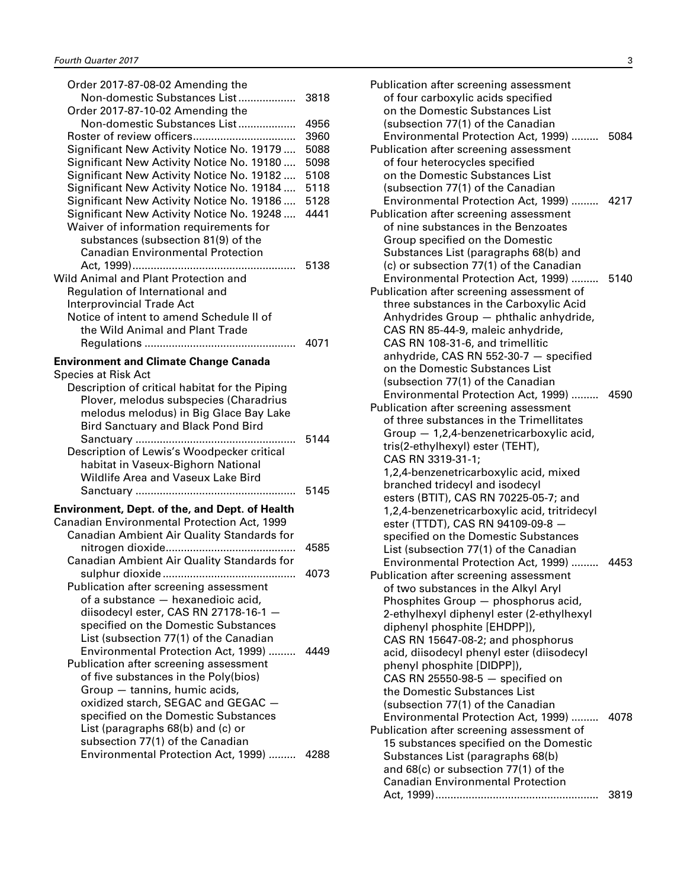| Order 2017-87-08-02 Amending the                                            |      |
|-----------------------------------------------------------------------------|------|
| Non-domestic Substances List<br>Order 2017-87-10-02 Amending the            | 3818 |
| Non-domestic Substances List                                                | 4956 |
|                                                                             | 3960 |
| Significant New Activity Notice No. 19179                                   | 5088 |
| Significant New Activity Notice No. 19180                                   | 5098 |
| Significant New Activity Notice No. 19182                                   | 5108 |
| Significant New Activity Notice No. 19184                                   | 5118 |
| Significant New Activity Notice No. 19186                                   | 5128 |
| Significant New Activity Notice No. 19248                                   | 4441 |
| Waiver of information requirements for                                      |      |
| substances (subsection 81(9) of the                                         |      |
| <b>Canadian Environmental Protection</b>                                    |      |
|                                                                             | 5138 |
| Wild Animal and Plant Protection and                                        |      |
| Regulation of International and                                             |      |
| <b>Interprovincial Trade Act</b>                                            |      |
|                                                                             |      |
| Notice of intent to amend Schedule II of<br>the Wild Animal and Plant Trade |      |
|                                                                             |      |
|                                                                             |      |
| <b>Environment and Climate Change Canada</b>                                |      |
| Species at Risk Act                                                         |      |
| Description of critical habitat for the Piping                              |      |
| Plover, melodus subspecies (Charadrius                                      |      |
| melodus melodus) in Big Glace Bay Lake                                      |      |
| <b>Bird Sanctuary and Black Pond Bird</b>                                   |      |
|                                                                             | 5144 |
| Description of Lewis's Woodpecker critical                                  |      |
| habitat in Vaseux-Bighorn National                                          |      |
| Wildlife Area and Vaseux Lake Bird                                          |      |
|                                                                             | 5145 |
|                                                                             |      |
| Environment, Dept. of the, and Dept. of Health                              |      |
| Canadian Environmental Protection Act, 1999                                 |      |
| Canadian Ambient Air Quality Standards for                                  |      |
|                                                                             | 4585 |
| Canadian Ambient Air Quality Standards for                                  |      |
|                                                                             | 4073 |
| Publication after screening assessment                                      |      |
| of a substance - hexanedioic acid,                                          |      |
| diisodecyl ester, CAS RN 27178-16-1 -                                       |      |
| specified on the Domestic Substances                                        |      |
| List (subsection 77(1) of the Canadian                                      |      |
| Environmental Protection Act, 1999)                                         | 4449 |
| Publication after screening assessment                                      |      |
| of five substances in the Poly(bios)                                        |      |
| Group - tannins, humic acids,                                               |      |
| oxidized starch, SEGAC and GEGAC -                                          |      |
| specified on the Domestic Substances                                        |      |
| List (paragraphs 68(b) and (c) or                                           |      |
| subsection 77(1) of the Canadian                                            |      |
| Environmental Protection Act, 1999)  4288                                   |      |
|                                                                             |      |
|                                                                             |      |

| Publication after screening assessment<br>of four carboxylic acids specified<br>on the Domestic Substances List<br>(subsection 77(1) of the Canadian<br>Environmental Protection Act, 1999)<br>Publication after screening assessment<br>of four heterocycles specified<br>on the Domestic Substances List                                                                                                                                                                                                                                                                                                             | 5084 |
|------------------------------------------------------------------------------------------------------------------------------------------------------------------------------------------------------------------------------------------------------------------------------------------------------------------------------------------------------------------------------------------------------------------------------------------------------------------------------------------------------------------------------------------------------------------------------------------------------------------------|------|
| (subsection 77(1) of the Canadian<br>Environmental Protection Act, 1999)<br>Publication after screening assessment<br>of nine substances in the Benzoates<br>Group specified on the Domestic                                                                                                                                                                                                                                                                                                                                                                                                                           | 4217 |
| Substances List (paragraphs 68(b) and<br>(c) or subsection 77(1) of the Canadian<br>Environmental Protection Act, 1999)<br>Publication after screening assessment of<br>three substances in the Carboxylic Acid<br>Anhydrides Group - phthalic anhydride,<br>CAS RN 85-44-9, maleic anhydride,                                                                                                                                                                                                                                                                                                                         | 5140 |
| CAS RN 108-31-6, and trimellitic<br>anhydride, CAS RN 552-30-7 - specified<br>on the Domestic Substances List<br>(subsection 77(1) of the Canadian<br>Environmental Protection Act, 1999)<br>Publication after screening assessment<br>of three substances in the Trimellitates<br>Group - 1,2,4-benzenetricarboxylic acid,<br>tris(2-ethylhexyl) ester (TEHT),<br>CAS RN 3319-31-1;                                                                                                                                                                                                                                   | 4590 |
| 1,2,4-benzenetricarboxylic acid, mixed<br>branched tridecyl and isodecyl<br>esters (BTIT), CAS RN 70225-05-7; and<br>1,2,4-benzenetricarboxylic acid, tritridecyl<br>ester (TTDT), CAS RN 94109-09-8 -<br>specified on the Domestic Substances<br>List (subsection 77(1) of the Canadian<br>Environmental Protection Act, 1999)<br>Publication after screening assessment<br>of two substances in the Alkyl Aryl<br>Phosphites Group - phosphorus acid,<br>2-ethylhexyl diphenyl ester (2-ethylhexyl<br>diphenyl phosphite [EHDPP]),<br>CAS RN 15647-08-2; and phosphorus<br>acid, diisodecyl phenyl ester (diisodecyl | 4453 |
| phenyl phosphite [DIDPP]),<br>CAS RN 25550-98-5 - specified on<br>the Domestic Substances List<br>(subsection 77(1) of the Canadian<br>Environmental Protection Act, 1999)<br>Publication after screening assessment of<br>15 substances specified on the Domestic<br>Substances List (paragraphs 68(b)<br>and 68(c) or subsection 77(1) of the                                                                                                                                                                                                                                                                        | 4078 |
| <b>Canadian Environmental Protection</b>                                                                                                                                                                                                                                                                                                                                                                                                                                                                                                                                                                               | 3819 |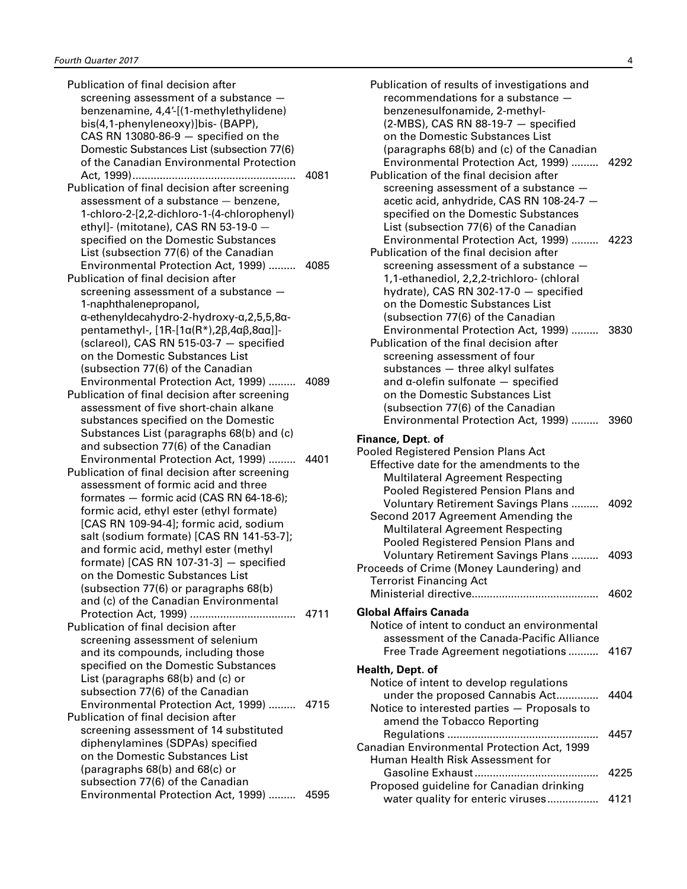| Publication of final decision after                                                    |      |
|----------------------------------------------------------------------------------------|------|
| screening assessment of a substance -                                                  |      |
| benzenamine, 4,4'-[(1-methylethylidene)                                                |      |
| bis(4,1-phenyleneoxy)]bis- (BAPP),                                                     |      |
| CAS RN 13080-86-9 $-$ specified on the                                                 |      |
| Domestic Substances List (subsection 77(6)                                             |      |
| of the Canadian Environmental Protection                                               |      |
|                                                                                        | 4081 |
| Publication of final decision after screening                                          |      |
| assessment of a substance - benzene,                                                   |      |
| 1-chloro-2-[2,2-dichloro-1-(4-chlorophenyl)                                            |      |
| ethyl]- (mitotane), CAS RN 53-19-0 -                                                   |      |
| specified on the Domestic Substances                                                   |      |
| List (subsection 77(6) of the Canadian                                                 |      |
| Environmental Protection Act, 1999)  4085                                              |      |
| Publication of final decision after                                                    |      |
|                                                                                        |      |
| screening assessment of a substance -                                                  |      |
| 1-naphthalenepropanol,                                                                 |      |
| α-ethenyldecahydro-2-hydroxy-α,2,5,5,8α-                                               |      |
| pentamethyl-, $[1R - [1\alpha(R^*)]$ , $2\beta$ , $4\alpha\beta$ , $8\alpha\alpha$ ]]- |      |
| (sclareol), CAS RN 515-03-7 - specified                                                |      |
| on the Domestic Substances List                                                        |      |
| (subsection 77(6) of the Canadian                                                      |      |
| Environmental Protection Act, 1999)                                                    | 4089 |
| Publication of final decision after screening                                          |      |
| assessment of five short-chain alkane                                                  |      |
| substances specified on the Domestic                                                   |      |
| Substances List (paragraphs 68(b) and (c)                                              |      |
| and subsection 77(6) of the Canadian                                                   |      |
| Environmental Protection Act, 1999)                                                    | 4401 |
| Publication of final decision after screening                                          |      |
| assessment of formic acid and three                                                    |      |
| formates - formic acid (CAS RN 64-18-6);                                               |      |
| formic acid, ethyl ester (ethyl formate)                                               |      |
| [CAS RN 109-94-4]; formic acid, sodium                                                 |      |
| salt (sodium formate) [CAS RN 141-53-7];                                               |      |
| and formic acid, methyl ester (methyl                                                  |      |
| formate) [CAS RN 107-31-3] $-$ specified                                               |      |
| on the Domestic Substances List                                                        |      |
| (subsection 77(6) or paragraphs 68(b)                                                  |      |
| and (c) of the Canadian Environmental                                                  |      |
|                                                                                        |      |
| Publication of final decision after                                                    |      |
| screening assessment of selenium                                                       |      |
| and its compounds, including those                                                     |      |
| specified on the Domestic Substances                                                   |      |
|                                                                                        |      |
| List (paragraphs 68(b) and (c) or                                                      |      |
| subsection 77(6) of the Canadian                                                       |      |
| Environmental Protection Act, 1999)  4715                                              |      |
| Publication of final decision after                                                    |      |
| screening assessment of 14 substituted                                                 |      |
| diphenylamines (SDPAs) specified                                                       |      |
| on the Domestic Substances List                                                        |      |
| (paragraphs $68(b)$ and $68(c)$ or                                                     |      |
| subsection 77(6) of the Canadian                                                       |      |
| Environmental Protection Act, 1999)                                                    | 4595 |

| Publication of results of investigations and<br>recommendations for a substance -<br>benzenesulfonamide, 2-methyl-<br>$(2-MBS)$ , CAS RN 88-19-7 $-$ specified<br>on the Domestic Substances List<br>(paragraphs 68(b) and (c) of the Canadian                                                                                            |              |
|-------------------------------------------------------------------------------------------------------------------------------------------------------------------------------------------------------------------------------------------------------------------------------------------------------------------------------------------|--------------|
| Environmental Protection Act, 1999)<br>Publication of the final decision after<br>screening assessment of a substance -<br>acetic acid, anhydride, CAS RN 108-24-7 -<br>specified on the Domestic Substances<br>List (subsection 77(6) of the Canadian                                                                                    | 4292         |
| Environmental Protection Act, 1999)<br>Publication of the final decision after<br>screening assessment of a substance -<br>1,1-ethanediol, 2,2,2-trichloro- (chloral<br>hydrate), CAS RN 302-17-0 - specified<br>on the Domestic Substances List                                                                                          | 4223         |
| (subsection 77(6) of the Canadian<br>Environmental Protection Act, 1999)  3830<br>Publication of the final decision after<br>screening assessment of four<br>substances - three alkyl sulfates<br>and $\alpha$ -olefin sulfonate $-$ specified<br>on the Domestic Substances List                                                         |              |
| (subsection 77(6) of the Canadian<br>Environmental Protection Act, 1999)<br>Finance, Dept. of                                                                                                                                                                                                                                             | 3960         |
| Pooled Registered Pension Plans Act<br>Effective date for the amendments to the<br><b>Multilateral Agreement Respecting</b><br>Pooled Registered Pension Plans and<br><b>Voluntary Retirement Savings Plans </b><br>Second 2017 Agreement Amending the<br><b>Multilateral Agreement Respecting</b><br>Pooled Registered Pension Plans and | 4092         |
| <b>Voluntary Retirement Savings Plans </b><br>Proceeds of Crime (Money Laundering) and<br><b>Terrorist Financing Act</b>                                                                                                                                                                                                                  | 4093<br>4602 |
| Global Affairs Canada<br>Notice of intent to conduct an environmental<br>assessment of the Canada-Pacific Alliance<br>Free Trade Agreement negotiations                                                                                                                                                                                   | 4167         |
| Health, Dept. of                                                                                                                                                                                                                                                                                                                          |              |
| Notice of intent to develop regulations<br>under the proposed Cannabis Act<br>Notice to interested parties - Proposals to<br>amend the Tobacco Reporting                                                                                                                                                                                  | 4404         |
| Canadian Environmental Protection Act, 1999<br>Human Health Risk Assessment for                                                                                                                                                                                                                                                           | 4457         |
| Gasoline Exhaust<br>Proposed guideline for Canadian drinking<br>water quality for enteric viruses                                                                                                                                                                                                                                         | 4225<br>4121 |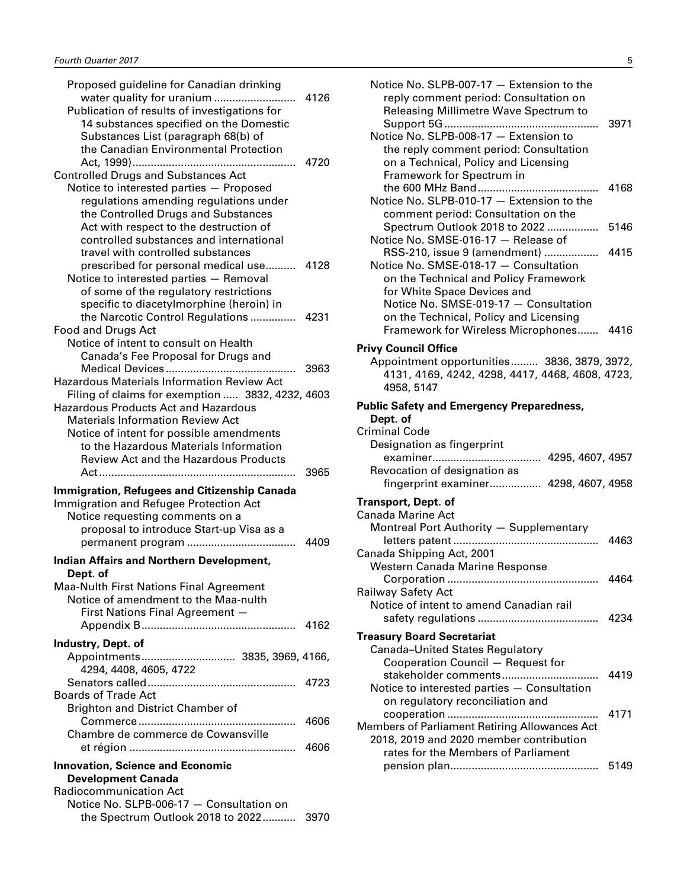| Proposed guideline for Canadian drinking                                      |      |
|-------------------------------------------------------------------------------|------|
| water quality for uranium                                                     | 4126 |
| Publication of results of investigations for                                  |      |
| 14 substances specified on the Domestic                                       |      |
| Substances List (paragraph 68(b) of                                           |      |
| the Canadian Environmental Protection                                         |      |
|                                                                               | 4720 |
| <b>Controlled Drugs and Substances Act</b>                                    |      |
| Notice to interested parties - Proposed                                       |      |
| regulations amending regulations under                                        |      |
| the Controlled Drugs and Substances                                           |      |
| Act with respect to the destruction of                                        |      |
| controlled substances and international                                       |      |
| travel with controlled substances                                             |      |
| prescribed for personal medical use                                           | 4128 |
| Notice to interested parties - Removal                                        |      |
| of some of the regulatory restrictions                                        |      |
| specific to diacetylmorphine (heroin) in                                      |      |
| the Narcotic Control Regulations                                              | 4231 |
| <b>Food and Drugs Act</b>                                                     |      |
| Notice of intent to consult on Health                                         |      |
| Canada's Fee Proposal for Drugs and                                           |      |
| Medical Devices<br>.                                                          | 3963 |
| Hazardous Materials Information Review Act                                    |      |
| Filing of claims for exemption  3832, 4232, 4603                              |      |
| <b>Hazardous Products Act and Hazardous</b>                                   |      |
| <b>Materials Information Review Act</b>                                       |      |
| Notice of intent for possible amendments                                      |      |
|                                                                               |      |
| to the Hazardous Materials Information                                        |      |
| <b>Review Act and the Hazardous Products</b>                                  |      |
|                                                                               | 3965 |
| Immigration, Refugees and Citizenship Canada                                  |      |
| Immigration and Refugee Protection Act                                        |      |
| Notice requesting comments on a                                               |      |
| proposal to introduce Start-up Visa as a                                      |      |
|                                                                               | 4409 |
|                                                                               |      |
| <b>Indian Affairs and Northern Development,</b>                               |      |
| Dept. of                                                                      |      |
| <b>Maa-Nulth First Nations Final Agreement</b>                                |      |
| Notice of amendment to the Maa-nulth                                          |      |
| First Nations Final Agreement -                                               |      |
|                                                                               | 4162 |
| Industry, Dept. of                                                            |      |
|                                                                               |      |
| 4294, 4408, 4605, 4722                                                        |      |
|                                                                               | 4723 |
| <b>Boards of Trade Act</b>                                                    |      |
| Brighton and District Chamber of                                              |      |
|                                                                               | 4606 |
| Chambre de commerce de Cowansville                                            |      |
|                                                                               | 4606 |
| <b>Innovation, Science and Economic</b>                                       |      |
| <b>Development Canada</b>                                                     |      |
| Radiocommunication Act                                                        |      |
| Notice No. SLPB-006-17 - Consultation on<br>the Spectrum Outlook 2018 to 2022 | 3970 |

| Notice No. SLPB-007-17 - Extension to the<br>reply comment period: Consultation on<br>Releasing Millimetre Wave Spectrum to                                                                                                      |              |
|----------------------------------------------------------------------------------------------------------------------------------------------------------------------------------------------------------------------------------|--------------|
| Notice No. SLPB-008-17 - Extension to<br>the reply comment period: Consultation<br>on a Technical, Policy and Licensing<br>Framework for Spectrum in                                                                             | 3971         |
| Notice No. SLPB-010-17 - Extension to the<br>comment period: Consultation on the                                                                                                                                                 | 4168         |
| Spectrum Outlook 2018 to 2022<br>Notice No. SMSE-016-17 - Release of                                                                                                                                                             | 5146         |
| RSS-210, issue 9 (amendment)<br>Notice No. SMSE-018-17 - Consultation<br>on the Technical and Policy Framework<br>for White Space Devices and<br>Notice No. SMSE-019-17 - Consultation<br>on the Technical, Policy and Licensing | 4415         |
| Framework for Wireless Microphones 4416                                                                                                                                                                                          |              |
| <b>Privy Council Office</b><br>Appointment opportunities 3836, 3879, 3972,<br>4131, 4169, 4242, 4298, 4417, 4468, 4608, 4723,<br>4958, 5147                                                                                      |              |
| <b>Public Safety and Emergency Preparedness,</b>                                                                                                                                                                                 |              |
| Dept. of<br><b>Criminal Code</b><br>Designation as fingerprint<br>Revocation of designation as<br>fingerprint examiner 4298, 4607, 4958                                                                                          |              |
| Transport, Dept. of                                                                                                                                                                                                              |              |
| Canada Marine Act<br>Montreal Port Authority - Supplementary<br>letters patent                                                                                                                                                   | 4463         |
| Canada Shipping Act, 2001<br>Western Canada Marine Response                                                                                                                                                                      |              |
| Corporation.<br>Railway Safety Act<br>Notice of intent to amend Canadian rail                                                                                                                                                    | 4464<br>4234 |
| <b>Treasury Board Secretariat</b><br>Canada-United States Regulatory<br>Cooperation Council - Request for                                                                                                                        |              |
| stakeholder comments<br>Notice to interested parties - Consultation<br>on regulatory reconciliation and                                                                                                                          | 4419         |
| Members of Parliament Retiring Allowances Act<br>2018, 2019 and 2020 member contribution<br>rates for the Members of Parliament                                                                                                  | 4171         |
|                                                                                                                                                                                                                                  | 5149         |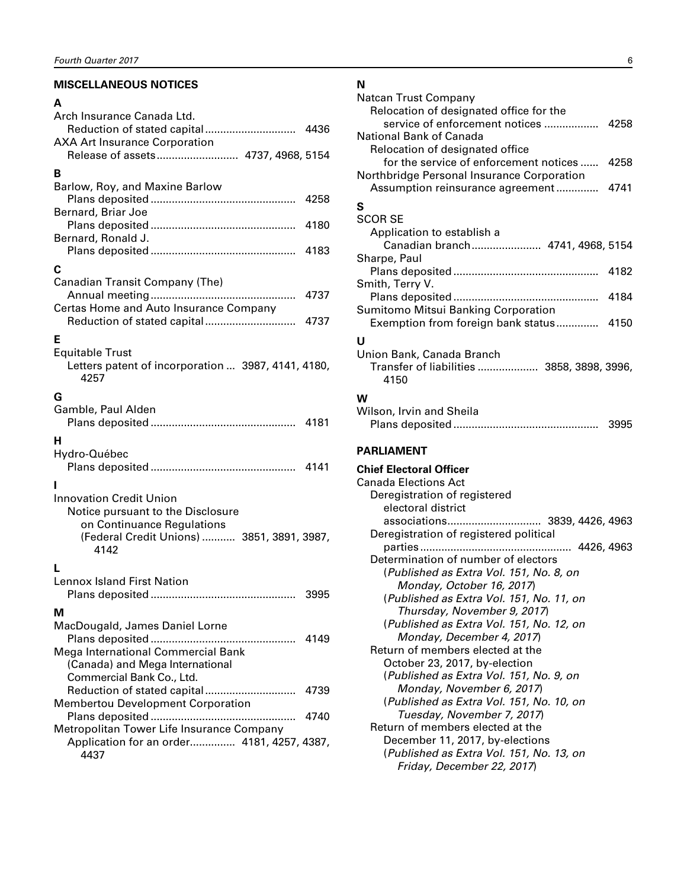# <span id="page-7-0"></span>**MISCELLANEOUS NOTICES**

#### **A**

| Arch Insurance Canada Ltd.                         |      |
|----------------------------------------------------|------|
|                                                    |      |
| <b>AXA Art Insurance Corporation</b>               |      |
| Release of assets 4737, 4968, 5154                 |      |
| в                                                  |      |
| Barlow, Roy, and Maxine Barlow                     |      |
|                                                    | 4258 |
| Bernard, Briar Joe                                 |      |
|                                                    | 4180 |
| Bernard, Ronald J.                                 |      |
|                                                    | 4183 |
| С                                                  |      |
| Canadian Transit Company (The)                     |      |
|                                                    | 4737 |
| Certas Home and Auto Insurance Company             |      |
| Reduction of stated capital                        | 4737 |
| Е                                                  |      |
| <b>Equitable Trust</b>                             |      |
| Letters patent of incorporation  3987, 4141, 4180, |      |
| 4257                                               |      |
| G                                                  |      |
| Gamble, Paul Alden                                 |      |
|                                                    | 4181 |
| н                                                  |      |
| Hydro-Québec                                       |      |
|                                                    |      |
|                                                    |      |
| <b>Innovation Credit Union</b>                     |      |
| Notice pursuant to the Disclosure                  |      |
| on Continuance Regulations                         |      |
| (Federal Credit Unions)  3851, 3891, 3987,         |      |
| 4142                                               |      |
|                                                    |      |
| <b>Lennox Island First Nation</b>                  |      |
|                                                    | 3995 |
| м                                                  |      |
| MacDougald, James Daniel Lorne                     |      |
|                                                    | 4149 |
| Mega International Commercial Bank                 |      |
| (Canada) and Mega International                    |      |
| Commercial Bank Co., Ltd.                          |      |
|                                                    | 4739 |
| <b>Membertou Development Corporation</b>           |      |
| .                                                  | 4740 |
| Metropolitan Tower Life Insurance Company          |      |
| Application for an order 4181, 4257, 4387,         |      |
| 4437                                               |      |
|                                                    |      |

# **N**

| Natcan Trust Company                       |      |
|--------------------------------------------|------|
| Relocation of designated office for the    |      |
| service of enforcement notices  4258       |      |
| National Bank of Canada                    |      |
| Relocation of designated office            |      |
| for the service of enforcement notices     | 4258 |
| Northbridge Personal Insurance Corporation |      |
| Assumption reinsurance agreement 4741      |      |
| S                                          |      |
| <b>SCOR SE</b>                             |      |
| Application to establish a                 |      |
| Canadian branch 4741, 4968, 5154           |      |
| Sharpe, Paul                               |      |
|                                            | 4182 |
| Smith, Terry V.                            |      |
| Plans deposited<br>.                       | 4184 |
| Sumitomo Mitsui Banking Corporation        |      |
| Exemption from foreign bank status 4150    |      |
| Ū                                          |      |
| Union Bank, Canada Branch                  |      |
| Transfer of liabilities  3858, 3898, 3996, |      |
| 4150                                       |      |
|                                            |      |
| w                                          |      |
| Wilson, Irvin and Sheila                   |      |
|                                            | 3995 |
|                                            |      |

# **PARLIAMENT**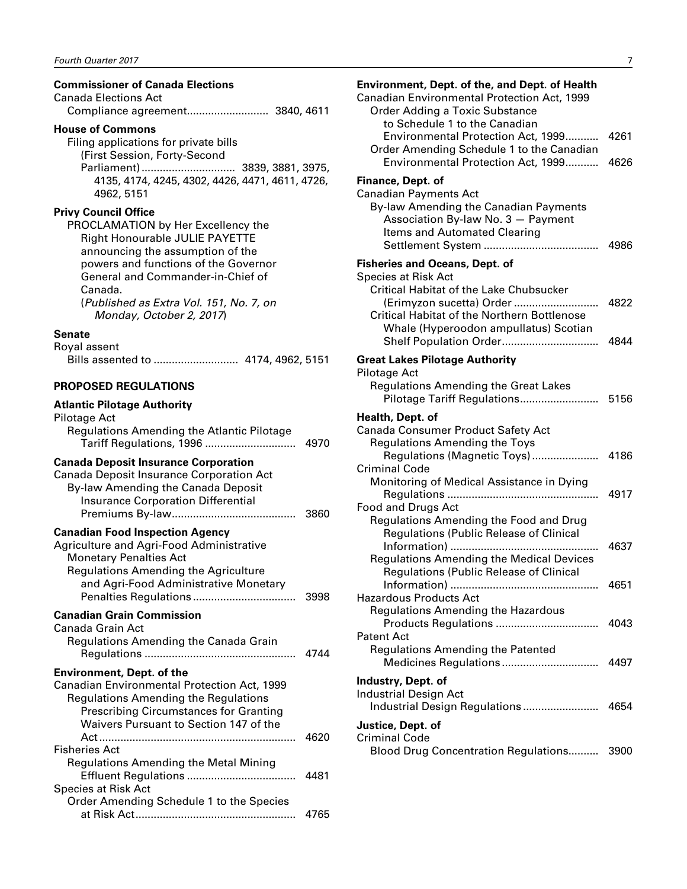#### <span id="page-8-0"></span>**Commissioner of Canada Elections**

| Canada Elections Act |  |
|----------------------|--|
|                      |  |

#### **House of Commons**

Filing applications for private bills (First Session, Forty-Second Parliament)............................... 3839, 3881, 3975, 4135, 4174, 4245, 4302, 4426, 4471, 4611, 4726, 4962, 5151

#### **Privy Council Office**

PROCLAMATION by Her Excellency the Right Honourable JULIE PAYETTE announcing the assumption of the powers and functions of the Governor General and Commander-in-Chief of Canada. (*Published as Extra Vol. 151, No. 7, on Monday, October 2, 2017*)

**Senate**

#### Royal assent

Bills assented to ............................ 4174, 4962, 5151

#### **PROPOSED REGULATIONS**

#### **Atlantic Pilotage Authority** Pilotage Act Regulations Amending the Atlantic Pilotage Tariff Regulations, 1996 .............................. 4970 **Canada Deposit Insurance Corporation** Canada Deposit Insurance Corporation Act By-law Amending the Canada Deposit Insurance Corporation Differential Premiums By-law......................................... 3860 **Canadian Food Inspection Agency** Agriculture and Agri-Food Administrative Monetary Penalties Act Regulations Amending the Agriculture and Agri-Food Administrative Monetary Penalties Regulations .................................. 3998 **Canadian Grain Commission** Canada Grain Act Regulations Amending the Canada Grain Regulations .................................................. 4744 **Environment, Dept. of the**  Canadian Environmental Protection Act, 1999 Regulations Amending the Regulations Prescribing Circumstances for Granting Waivers Pursuant to Section 147 of the Act................................................................. 4620 Fisheries Act Regulations Amending the Metal Mining Effluent Regulations .................................... 4481 Species at Risk Act Order Amending Schedule 1 to the Species at Risk Act..................................................... 4765

#### **Environment, Dept. of the, and Dept. of Health**  Canadian Environmental Protection Act, 1999 Order Adding a Toxic Substance to Schedule 1 to the Canadian Environmental Protection Act, 1999........... 4261 Order Amending Schedule 1 to the Canadian Environmental Protection Act, 1999........... 4626 **Finance, Dept. of**  Canadian Payments Act By-law Amending the Canadian Payments Association By-law No. 3 — Payment Items and Automated Clearing Settlement System ...................................... 4986 **Fisheries and Oceans, Dept. of**  Species at Risk Act Critical Habitat of the Lake Chubsucker (Erimyzon sucetta) Order ............................ 4822 Critical Habitat of the Northern Bottlenose Whale (Hyperoodon ampullatus) Scotian Shelf Population Order................................ 4844 **Great Lakes Pilotage Authority** Pilotage Act Regulations Amending the Great Lakes Pilotage Tariff Regulations.......................... 5156 **Health, Dept. of** Canada Consumer Product Safety Act Regulations Amending the Toys Regulations (Magnetic Toys)...................... 4186 Criminal Code Monitoring of Medical Assistance in Dying Regulations .................................................. 4917 Food and Drugs Act Regulations Amending the Food and Drug Regulations (Public Release of Clinical Information) ................................................. 4637 Regulations Amending the Medical Devices Regulations (Public Release of Clinical Information) ................................................. 4651 Hazardous Products Act Regulations Amending the Hazardous Products Regulations .................................. 4043 Patent Act Regulations Amending the Patented Medicines Regulations ................................ 4497 **Industry, Dept. of**  Industrial Design Act Industrial Design Regulations ......................... 4654 **Justice, Dept. of** Criminal Code Blood Drug Concentration Regulations.......... 3900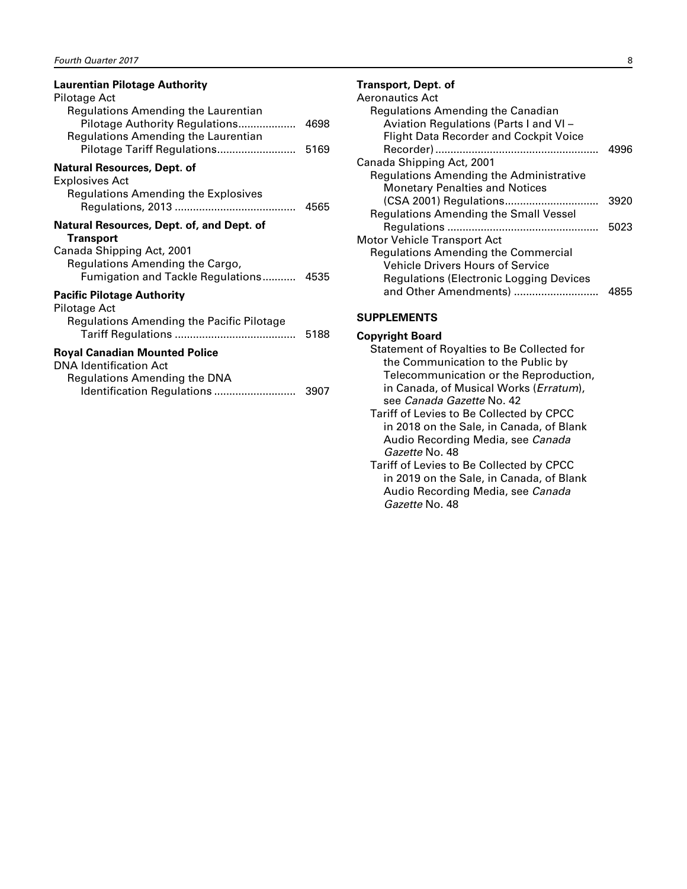<span id="page-9-0"></span>

| <b>Laurentian Pilotage Authority</b>                                                                                       |      |
|----------------------------------------------------------------------------------------------------------------------------|------|
| Pilotage Act<br>Regulations Amending the Laurentian                                                                        |      |
| Pilotage Authority Regulations<br>Regulations Amending the Laurentian                                                      | 4698 |
| Pilotage Tariff Regulations                                                                                                | 5169 |
| <b>Natural Resources, Dept. of</b><br>Explosives Act<br>Regulations Amending the Explosives                                |      |
| Natural Resources, Dept. of, and Dept. of                                                                                  |      |
| <b>Transport</b><br>Canada Shipping Act, 2001<br>Regulations Amending the Cargo,<br>Fumigation and Tackle Regulations 4535 |      |
| <b>Pacific Pilotage Authority</b>                                                                                          |      |
| Pilotage Act<br>Regulations Amending the Pacific Pilotage                                                                  | 5188 |
| <b>Royal Canadian Mounted Police</b>                                                                                       |      |
| DNA Identification Act<br>Regulations Amending the DNA<br>Identification Regulations                                       | 3907 |

#### **Transport, Dept. of**

| Aeronautics Act                                |      |
|------------------------------------------------|------|
| Regulations Amending the Canadian              |      |
| Aviation Regulations (Parts I and VI -         |      |
| <b>Flight Data Recorder and Cockpit Voice</b>  |      |
|                                                | 4996 |
| Canada Shipping Act, 2001                      |      |
| <b>Regulations Amending the Administrative</b> |      |
| <b>Monetary Penalties and Notices</b>          |      |
|                                                | 3920 |
| <b>Regulations Amending the Small Vessel</b>   |      |
|                                                | 5023 |
| <b>Motor Vehicle Transport Act</b>             |      |
| <b>Regulations Amending the Commercial</b>     |      |
| <b>Vehicle Drivers Hours of Service</b>        |      |
| <b>Regulations (Electronic Logging Devices</b> |      |
| and Other Amendments)                          |      |
|                                                |      |

#### **SUPPLEMENTS**

#### **Copyright Board**

- Statement of Royalties to Be Collected for the Communication to the Public by Telecommunication or the Reproduction, in Canada, of Musical Works (*Erratum*), see *Canada Gazette* No. 42 Tariff of Levies to Be Collected by CPCC
- in 2018 on the Sale, in Canada, of Blank Audio Recording Media, see *Canada Gazette* No. 48
- Tariff of Levies to Be Collected by CPCC in 2019 on the Sale, in Canada, of Blank Audio Recording Media, see *Canada Gazette* No. 48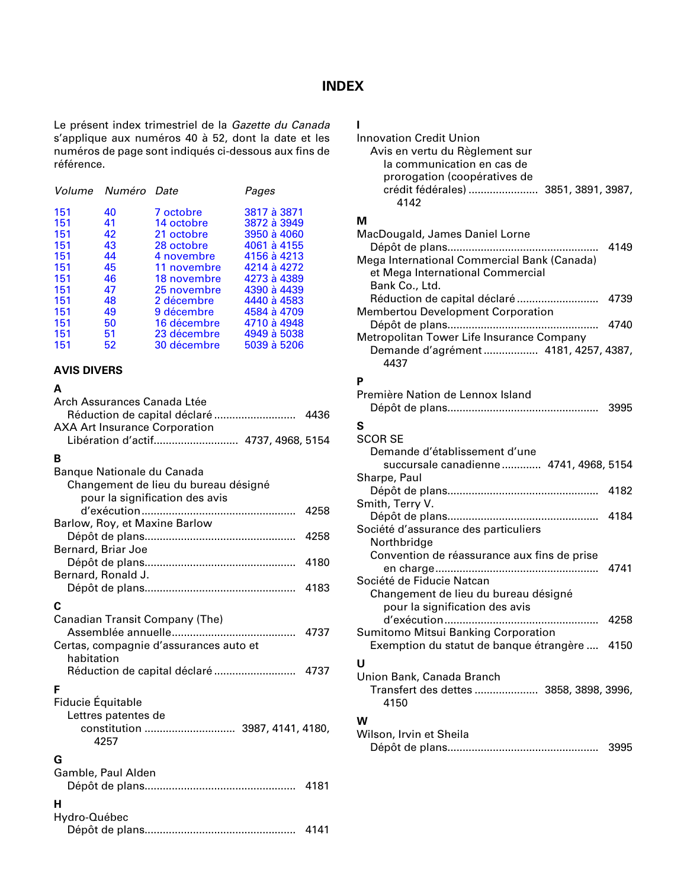# **INDEX**

<span id="page-10-0"></span>Le présent index trimestriel de la *Gazette du Canada* s'applique aux numéros 40 à 52, dont la date et les numéros de page sont indiqués ci-dessous aux fins de référence.

| Volume Numéro Date |             | Pages       |
|--------------------|-------------|-------------|
| 151<br>40          | 7 octobre   | 3817 à 3871 |
| 151<br>41          | 14 octobre  | 3872 à 3949 |
| 151<br>42          | 21 octobre  | 3950 à 4060 |
| 151<br>43          | 28 octobre  | 4061 à 4155 |
| 44<br>151          | 4 novembre  | 4156 à 4213 |
| 151<br>45          | 11 novembre | 4214 à 4272 |
| 151<br>46          | 18 novembre | 4273 à 4389 |
| 151<br>47          | 25 novembre | 4390 à 4439 |
| 151<br>48          | 2 décembre  | 4440 à 4583 |
| 151<br>49          | 9 décembre  | 4584 à 4709 |
| 151<br>50          | 16 décembre | 4710 à 4948 |
| 151<br>51          | 23 décembre | 4949 à 5038 |
| 151<br>52          | 30 décembre | 5039 à 5206 |

#### **AVIS DIVERS**

#### **A**

| Arch Assurances Canada Ltée            |      |
|----------------------------------------|------|
|                                        |      |
| <b>AXA Art Insurance Corporation</b>   |      |
| Libération d'actif 4737, 4968, 5154    |      |
| B                                      |      |
| Banque Nationale du Canada             |      |
| Changement de lieu du bureau désigné   |      |
| pour la signification des avis         |      |
|                                        | 4258 |
| Barlow, Roy, et Maxine Barlow          |      |
|                                        | 4258 |
| Bernard, Briar Joe                     |      |
|                                        | 4180 |
| Bernard, Ronald J.                     |      |
|                                        | 4183 |
| C                                      |      |
| Canadian Transit Company (The)         |      |
|                                        | 4737 |
| Certas, compagnie d'assurances auto et |      |
| habitation                             |      |
| Réduction de capital déclaré  4737     |      |
| F                                      |      |
| Fiducie Équitable                      |      |
| Lettres patentes de                    |      |
|                                        |      |
| 4257                                   |      |
|                                        |      |
| G                                      |      |
| Gamble, Paul Alden                     |      |
|                                        |      |
| н                                      |      |
| Hydro-Québec                           |      |
|                                        | 4141 |

# **I**

| Innovation Credit Union                                                            |      |
|------------------------------------------------------------------------------------|------|
| Avis en vertu du Règlement sur                                                     |      |
| la communication en cas de                                                         |      |
| prorogation (coopératives de                                                       |      |
| crédit fédérales)  3851, 3891, 3987,                                               |      |
| 4142                                                                               |      |
| м                                                                                  |      |
|                                                                                    |      |
| MacDougald, James Daniel Lorne                                                     |      |
|                                                                                    | 4149 |
| Mega International Commercial Bank (Canada)                                        |      |
| et Mega International Commercial                                                   |      |
| Bank Co., Ltd.                                                                     |      |
|                                                                                    | 4739 |
| <b>Membertou Development Corporation</b>                                           |      |
|                                                                                    | 4740 |
| Metropolitan Tower Life Insurance Company<br>Demande d'agrément  4181, 4257, 4387, |      |
|                                                                                    |      |
| 4437                                                                               |      |
| Ρ                                                                                  |      |
| Première Nation de Lennox Island                                                   |      |
|                                                                                    | 3995 |
| S                                                                                  |      |
| <b>SCOR SE</b>                                                                     |      |
| Demande d'établissement d'une                                                      |      |
| succursale canadienne 4741, 4968, 5154                                             |      |
| Sharpe, Paul                                                                       |      |
|                                                                                    | 4182 |
| Smith, Terry V.                                                                    |      |
|                                                                                    |      |
| Société d'assurance des particuliers                                               |      |
| Northbridge                                                                        |      |
| Convention de réassurance aux fins de prise                                        |      |
|                                                                                    | 4741 |
| Société de Fiducie Natcan                                                          |      |
| Changement de lieu du bureau désigné                                               |      |
| pour la signification des avis                                                     |      |
|                                                                                    | 4258 |
| Sumitomo Mitsui Banking Corporation                                                |      |
| Exemption du statut de banque étrangère  4150                                      |      |
| U                                                                                  |      |
| Union Bank, Canada Branch                                                          |      |
| Transfert des dettes  3858, 3898, 3996,                                            |      |
| 4150                                                                               |      |
|                                                                                    |      |
| W                                                                                  |      |
| Wilson, Irvin et Sheila                                                            |      |
|                                                                                    | 3995 |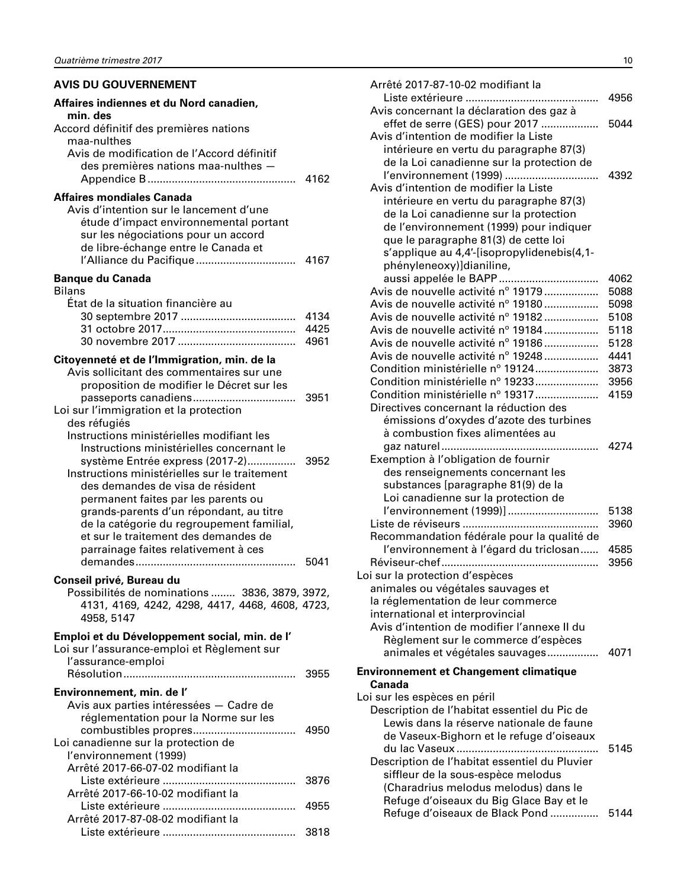#### <span id="page-11-0"></span>**AVIS DU GOUVERNEMENT**

| Affaires indiennes et du Nord canadien,<br>min. des                                                                                                                                                                                                                                                                                                                                                                                           |                      |
|-----------------------------------------------------------------------------------------------------------------------------------------------------------------------------------------------------------------------------------------------------------------------------------------------------------------------------------------------------------------------------------------------------------------------------------------------|----------------------|
| Accord définitif des premières nations<br>maa-nulthes<br>Avis de modification de l'Accord définitif<br>des premières nations maa-nulthes -                                                                                                                                                                                                                                                                                                    | 4162                 |
| <b>Affaires mondiales Canada</b><br>Avis d'intention sur le lancement d'une<br>étude d'impact environnemental portant<br>sur les négociations pour un accord<br>de libre-échange entre le Canada et                                                                                                                                                                                                                                           |                      |
| <b>Banque du Canada</b><br><b>Bilans</b>                                                                                                                                                                                                                                                                                                                                                                                                      |                      |
| État de la situation financière au                                                                                                                                                                                                                                                                                                                                                                                                            | 4134<br>4425<br>4961 |
| Citoyenneté et de l'Immigration, min. de la<br>Avis sollicitant des commentaires sur une<br>proposition de modifier le Décret sur les<br>Loi sur l'immigration et la protection                                                                                                                                                                                                                                                               | 3951                 |
| des réfugiés<br>Instructions ministérielles modifiant les<br>Instructions ministérielles concernant le<br>système Entrée express (2017-2)<br>Instructions ministérielles sur le traitement<br>des demandes de visa de résident<br>permanent faites par les parents ou<br>grands-parents d'un répondant, au titre<br>de la catégorie du regroupement familial,<br>et sur le traitement des demandes de<br>parrainage faites relativement à ces | 3952<br>5041         |
| Conseil privé, Bureau du<br>Possibilités de nominations  3836, 3879, 3972,<br>4131, 4169, 4242, 4298, 4417, 4468, 4608, 4723,<br>4958, 5147                                                                                                                                                                                                                                                                                                   |                      |
| Emploi et du Développement social, min. de l'<br>Loi sur l'assurance-emploi et Règlement sur<br>l'assurance-emploi                                                                                                                                                                                                                                                                                                                            |                      |
| Environnement, min. de l'<br>Avis aux parties intéressées - Cadre de                                                                                                                                                                                                                                                                                                                                                                          |                      |
| réglementation pour la Norme sur les<br>Loi canadienne sur la protection de<br>l'environnement (1999)                                                                                                                                                                                                                                                                                                                                         |                      |
| Arrêté 2017-66-07-02 modifiant la<br>Liste extérieure                                                                                                                                                                                                                                                                                                                                                                                         | 3876                 |
| Arrêté 2017-66-10-02 modifiant la                                                                                                                                                                                                                                                                                                                                                                                                             | 4955                 |
| Arrêté 2017-87-08-02 modifiant la                                                                                                                                                                                                                                                                                                                                                                                                             | 3818                 |

| Arrêté 2017-87-10-02 modifiant la                                        |              |
|--------------------------------------------------------------------------|--------------|
|                                                                          | 4956         |
| Avis concernant la déclaration des gaz à                                 |              |
| effet de serre (GES) pour 2017                                           | 5044         |
| Avis d'intention de modifier la Liste                                    |              |
| intérieure en vertu du paragraphe 87(3)                                  |              |
| de la Loi canadienne sur la protection de                                |              |
| l'environnement (1999)                                                   | 4392         |
| Avis d'intention de modifier la Liste                                    |              |
| intérieure en vertu du paragraphe 87(3)                                  |              |
| de la Loi canadienne sur la protection                                   |              |
| de l'environnement (1999) pour indiquer                                  |              |
| que le paragraphe 81(3) de cette loi                                     |              |
| s'applique au 4,4'-[isopropylidenebis(4,1-                               |              |
| phényleneoxy)]dianiline,                                                 |              |
|                                                                          | 4062         |
| Avis de nouvelle activité nº 19179                                       | 5088         |
| Avis de nouvelle activité nº 19180                                       | 5098         |
| Avis de nouvelle activité nº 19182<br>Avis de nouvelle activité nº 19184 | 5108<br>5118 |
| Avis de nouvelle activité nº 19186                                       | 5128         |
| Avis de nouvelle activité nº 19248                                       | 4441         |
| Condition ministérielle nº 19124                                         | 3873         |
| Condition ministérielle nº 19233                                         | 3956         |
| Condition ministérielle nº 19317                                         | 4159         |
| Directives concernant la réduction des                                   |              |
| émissions d'oxydes d'azote des turbines                                  |              |
| à combustion fixes alimentées au                                         |              |
|                                                                          | 4274         |
| Exemption à l'obligation de fournir                                      |              |
| des renseignements concernant les                                        |              |
| substances [paragraphe 81(9) de la                                       |              |
| Loi canadienne sur la protection de                                      |              |
| l'environnement (1999)]                                                  | 5138         |
|                                                                          | 3960         |
| Recommandation fédérale pour la qualité de                               |              |
| l'environnement à l'égard du triclosan                                   | 4585         |
|                                                                          | 3956         |
| Loi sur la protection d'espèces                                          |              |
| animales ou végétales sauvages et                                        |              |
| la réglementation de leur commerce                                       |              |
| international et interprovincial                                         |              |
| Avis d'intention de modifier l'annexe II du                              |              |
| Règlement sur le commerce d'espèces                                      |              |
| animales et végétales sauvages 4071                                      |              |
| <b>Environnement et Changement climatique</b>                            |              |
| Canada                                                                   |              |
| Loi sur les espèces en péril                                             |              |
| Description de l'habitat essentiel du Pic de                             |              |
| Lewis dans la réserve nationale de faune                                 |              |
| de Vaseux-Bighorn et le refuge d'oiseaux                                 |              |
| du lac Vaseux                                                            | 5145         |
| Description de l'habitat essentiel du Pluvier                            |              |
| siffleur de la sous-espèce melodus                                       |              |
| (Charadrius melodus melodus) dans le                                     |              |
| Refuge d'oiseaux du Big Glace Bay et le                                  |              |
| Refuge d'oiseaux de Black Pond                                           | 5144         |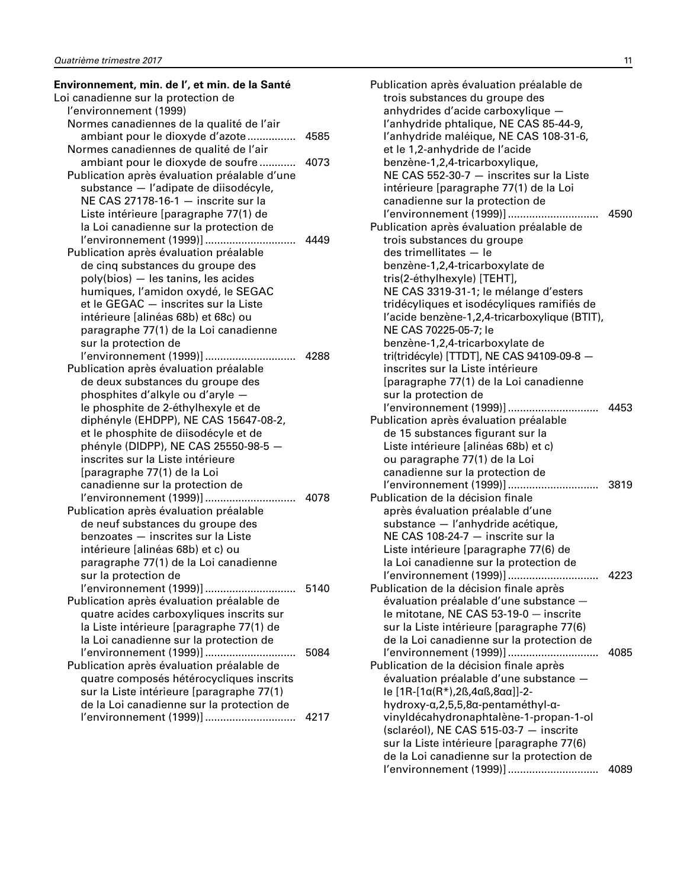| Environnement, min. de l', et min. de la Santé |      |
|------------------------------------------------|------|
| Loi canadienne sur la protection de            |      |
| l'environnement (1999)                         |      |
| Normes canadiennes de la qualité de l'air      |      |
| ambiant pour le dioxyde d'azote                | 4585 |
| Normes canadiennes de qualité de l'air         |      |
| ambiant pour le dioxyde de soufre              | 4073 |
| Publication après évaluation préalable d'une   |      |
| substance - l'adipate de diisodécyle,          |      |
| NE CAS 27178-16-1 - inscrite sur la            |      |
| Liste intérieure [paragraphe 77(1) de          |      |
| la Loi canadienne sur la protection de         |      |
| l'environnement (1999)]                        | 4449 |
| Publication après évaluation préalable         |      |
| de cinq substances du groupe des               |      |
| poly(bios) - les tanins, les acides            |      |
| humiques, l'amidon oxydé, le SEGAC             |      |
| et le GEGAC - inscrites sur la Liste           |      |
| intérieure [alinéas 68b) et 68c) ou            |      |
| paragraphe 77(1) de la Loi canadienne          |      |
| sur la protection de                           |      |
|                                                |      |
| Publication après évaluation préalable         |      |
| de deux substances du groupe des               |      |
| phosphites d'alkyle ou d'aryle -               |      |
| le phosphite de 2-éthylhexyle et de            |      |
| diphényle (EHDPP), NE CAS 15647-08-2,          |      |
| et le phosphite de diisodécyle et de           |      |
| phényle (DIDPP), NE CAS 25550-98-5 -           |      |
| inscrites sur la Liste intérieure              |      |
| [paragraphe 77(1) de la Loi                    |      |
| canadienne sur la protection de                |      |
| l'environnement (1999)]                        | 4078 |
| Publication après évaluation préalable         |      |
| de neuf substances du groupe des               |      |
| benzoates - inscrites sur la Liste             |      |
| intérieure [alinéas 68b) et c) ou              |      |
| paragraphe 77(1) de la Loi canadienne          |      |
| sur la protection de                           |      |
| l'environnement (1999)]                        | 5140 |
| Publication après évaluation préalable de      |      |
| quatre acides carboxyliques inscrits sur       |      |
| la Liste intérieure [paragraphe 77(1) de       |      |
| la Loi canadienne sur la protection de         |      |
| l'environnement (1999)]                        | 5084 |
| Publication après évaluation préalable de      |      |
| quatre composés hétérocycliques inscrits       |      |
| sur la Liste intérieure [paragraphe 77(1)      |      |
| de la Loi canadienne sur la protection de      |      |
| l'environnement (1999)]                        | 4217 |
|                                                |      |

| Publication après évaluation préalable de                      |      |
|----------------------------------------------------------------|------|
| trois substances du groupe des                                 |      |
| anhydrides d'acide carboxylique                                |      |
| l'anhydride phtalique, NE CAS 85-44-9,                         |      |
|                                                                |      |
| l'anhydride maléique, NE CAS 108-31-6,                         |      |
| et le 1,2-anhydride de l'acide                                 |      |
| benzène-1,2,4-tricarboxylique,                                 |      |
| NE CAS 552-30-7 - inscrites sur la Liste                       |      |
| intérieure [paragraphe 77(1) de la Loi                         |      |
| canadienne sur la protection de                                |      |
|                                                                |      |
| Publication après évaluation préalable de                      |      |
|                                                                |      |
| trois substances du groupe                                     |      |
| des trimellitates - le                                         |      |
| benzène-1,2,4-tricarboxylate de                                |      |
| tris(2-éthylhexyle) [TEHT],                                    |      |
| NE CAS 3319-31-1; le mélange d'esters                          |      |
| tridécyliques et isodécyliques ramifiés de                     |      |
| l'acide benzène-1,2,4-tricarboxylique (BTIT),                  |      |
| NE CAS 70225-05-7; le                                          |      |
|                                                                |      |
| benzène-1,2,4-tricarboxylate de                                |      |
| tri(tridécyle) [TTDT], NE CAS 94109-09-8 -                     |      |
| inscrites sur la Liste intérieure                              |      |
| [paragraphe 77(1) de la Loi canadienne                         |      |
| sur la protection de                                           |      |
| l'environnement (1999)]<br>4453                                |      |
| Publication après évaluation préalable                         |      |
| de 15 substances figurant sur la                               |      |
| Liste intérieure [alinéas 68b) et c)                           |      |
|                                                                |      |
| ou paragraphe 77(1) de la Loi                                  |      |
| canadienne sur la protection de                                |      |
| l'environnement (1999)]                                        | 3819 |
| Publication de la décision finale                              |      |
| après évaluation préalable d'une                               |      |
| substance - l'anhydride acétique,                              |      |
| NE CAS 108-24-7 - inscrite sur la                              |      |
| Liste intérieure [paragraphe 77(6) de                          |      |
| la Loi canadienne sur la protection de                         |      |
| l'environnement (1999)]                                        | 4223 |
| Publication de la décision finale après                        |      |
|                                                                |      |
| évaluation préalable d'une substance -                         |      |
| le mitotane, NE CAS 53-19-0 - inscrite                         |      |
| sur la Liste intérieure [paragraphe 77(6)                      |      |
| de la Loi canadienne sur la protection de                      |      |
| l'environnement (1999)]                                        | 4085 |
| Publication de la décision finale après                        |      |
| évaluation préalable d'une substance -                         |      |
| le $[1R-[1\alpha(R^*),2\beta,4\alpha\beta,8\alpha\alpha]]-2$ - |      |
| hydroxy-α,2,5,5,8α-pentaméthyl-α-                              |      |
|                                                                |      |
| vinyldécahydronaphtalène-1-propan-1-ol                         |      |
| (sclaréol), NE CAS 515-03-7 - inscrite                         |      |
| sur la Liste intérieure [paragraphe 77(6)                      |      |
| de la Loi canadienne sur la protection de                      |      |
| l'environnement (1999)]                                        | 4089 |
|                                                                |      |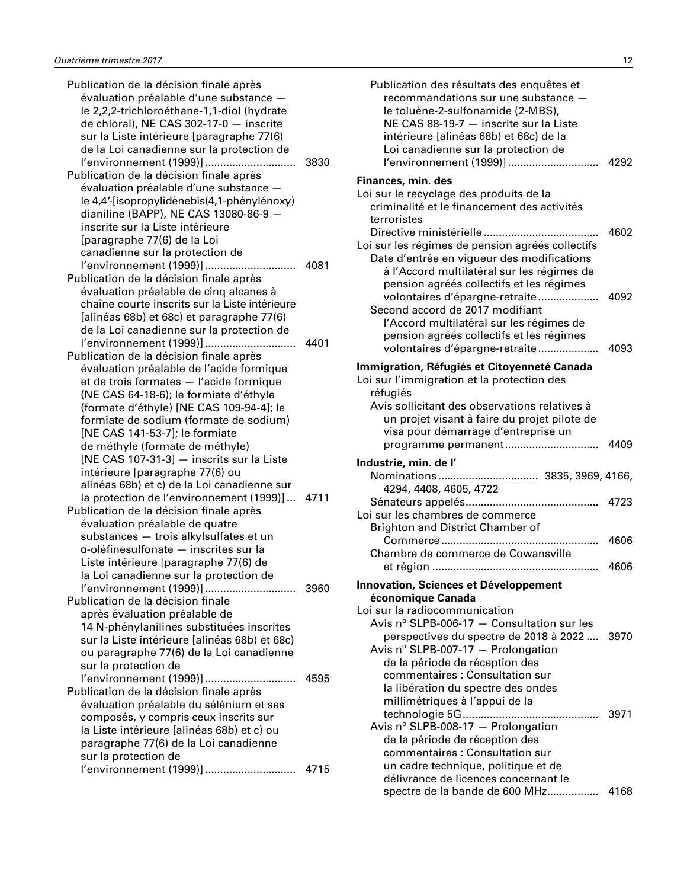| Publication de la décision finale après         |      |
|-------------------------------------------------|------|
| évaluation préalable d'une substance -          |      |
| le 2,2,2-trichloroéthane-1,1-diol (hydrate      |      |
| de chloral), NE CAS 302-17-0 - inscrite         |      |
| sur la Liste intérieure [paragraphe 77(6)       |      |
| de la Loi canadienne sur la protection de       |      |
| l'environnement (1999)]                         | 3830 |
| Publication de la décision finale après         |      |
| évaluation préalable d'une substance -          |      |
| le 4,4'-[isopropylidènebis(4,1-phénylénoxy)     |      |
| dianiline (BAPP), NE CAS 13080-86-9 -           |      |
| inscrite sur la Liste intérieure                |      |
| [paragraphe 77(6) de la Loi                     |      |
| canadienne sur la protection de                 |      |
|                                                 |      |
| Publication de la décision finale après         |      |
| évaluation préalable de cinq alcanes à          |      |
| chaîne courte inscrits sur la Liste intérieure  |      |
|                                                 |      |
| [alinéas 68b) et 68c) et paragraphe 77(6)       |      |
| de la Loi canadienne sur la protection de       |      |
| l'environnement (1999)]                         | 4401 |
| Publication de la décision finale après         |      |
| évaluation préalable de l'acide formique        |      |
| et de trois formates - l'acide formique         |      |
| (NE CAS 64-18-6); le formiate d'éthyle          |      |
| (formate d'éthyle) [NE CAS 109-94-4]; le        |      |
| formiate de sodium (formate de sodium)          |      |
| [NE CAS 141-53-7]; le formiate                  |      |
| de méthyle (formate de méthyle)                 |      |
| [NE CAS 107-31-3] - inscrits sur la Liste       |      |
| intérieure [paragraphe 77(6) ou                 |      |
| alinéas 68b) et c) de la Loi canadienne sur     |      |
| la protection de l'environnement (1999)]  4711  |      |
| Publication de la décision finale après         |      |
| évaluation préalable de quatre                  |      |
| substances - trois alkylsulfates et un          |      |
| α-oléfinesulfonate - inscrites sur la           |      |
| Liste intérieure [paragraphe 77(6) de           |      |
| la Loi canadienne sur la protection de          |      |
| l'environnement (1999)]                         | 3960 |
| Publication de la décision finale               |      |
| après évaluation préalable de                   |      |
| 14 N-phénylanilines substituées inscrites       |      |
| sur la Liste intérieure [alinéas 68b) et 68c)   |      |
|                                                 |      |
| ou paragraphe 77(6) de la Loi canadienne        |      |
| sur la protection de                            |      |
|                                                 |      |
| l'environnement (1999)]                         | 4595 |
| Publication de la décision finale après         |      |
| évaluation préalable du sélénium et ses         |      |
| composés, y compris ceux inscrits sur           |      |
| la Liste intérieure [alinéas 68b) et c) ou      |      |
| paragraphe 77(6) de la Loi canadienne           |      |
| sur la protection de<br>l'environnement (1999)] | 4715 |

| Publication des résultats des enquêtes et<br>recommandations sur une substance -<br>le toluène-2-sulfonamide (2-MBS),<br>NE CAS 88-19-7 - inscrite sur la Liste<br>intérieure [alinéas 68b) et 68c) de la<br>Loi canadienne sur la protection de<br>l'environnement (1999)] | 4292         |
|-----------------------------------------------------------------------------------------------------------------------------------------------------------------------------------------------------------------------------------------------------------------------------|--------------|
| Finances, min. des<br>Loi sur le recyclage des produits de la<br>criminalité et le financement des activités<br>terroristes                                                                                                                                                 |              |
| Loi sur les régimes de pension agréés collectifs<br>Date d'entrée en vigueur des modifications<br>à l'Accord multilatéral sur les régimes de<br>pension agréés collectifs et les régimes                                                                                    | 4602         |
| volontaires d'épargne-retraite<br>Second accord de 2017 modifiant<br>l'Accord multilatéral sur les régimes de<br>pension agréés collectifs et les régimes<br>volontaires d'épargne-retraite                                                                                 | 4092<br>4093 |
|                                                                                                                                                                                                                                                                             |              |
| Immigration, Réfugiés et Citoyenneté Canada<br>Loi sur l'immigration et la protection des<br>réfugiés<br>Avis sollicitant des observations relatives à<br>un projet visant à faire du projet pilote de<br>visa pour démarrage d'entreprise un                               |              |
| programme permanent                                                                                                                                                                                                                                                         | 4409         |
| Industrie, min. de l'                                                                                                                                                                                                                                                       |              |
| 4294, 4408, 4605, 4722                                                                                                                                                                                                                                                      |              |
| Loi sur les chambres de commerce                                                                                                                                                                                                                                            | 4723         |
| <b>Brighton and District Chamber of</b>                                                                                                                                                                                                                                     | 4606         |
| Chambre de commerce de Cowansville                                                                                                                                                                                                                                          | 4606         |
|                                                                                                                                                                                                                                                                             |              |
| <b>Innovation, Sciences et Développement</b>                                                                                                                                                                                                                                |              |
| économique Canada<br>Loi sur la radiocommunication                                                                                                                                                                                                                          |              |
| Avis $n^{\circ}$ SLPB-006-17 $-$ Consultation sur les                                                                                                                                                                                                                       |              |
| perspectives du spectre de 2018 à 2022                                                                                                                                                                                                                                      | 3970         |
| Avis nº SLPB-007-17 - Prolongation                                                                                                                                                                                                                                          |              |
| de la période de réception des                                                                                                                                                                                                                                              |              |
| commentaires : Consultation sur                                                                                                                                                                                                                                             |              |
|                                                                                                                                                                                                                                                                             |              |
| la libération du spectre des ondes                                                                                                                                                                                                                                          |              |
| millimétriques à l'appui de la                                                                                                                                                                                                                                              | 3971         |
| Avis nº SLPB-008-17 - Prolongation                                                                                                                                                                                                                                          |              |
| de la période de réception des                                                                                                                                                                                                                                              |              |
| commentaires : Consultation sur                                                                                                                                                                                                                                             |              |
| un cadre technique, politique et de                                                                                                                                                                                                                                         |              |
| délivrance de licences concernant le<br>spectre de la bande de 600 MHz                                                                                                                                                                                                      | 4168         |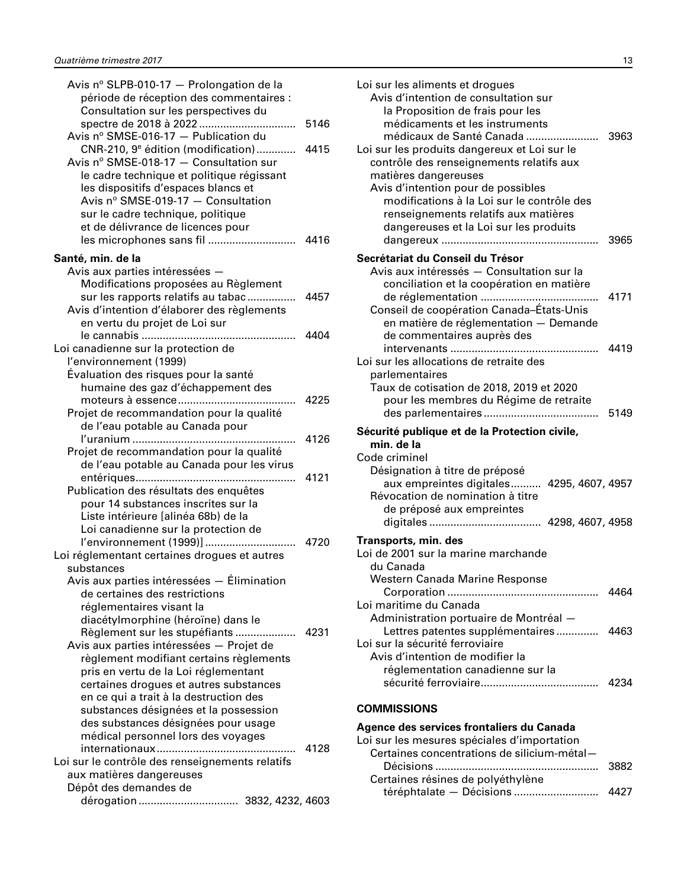<span id="page-14-0"></span>

| Avis nº SLPB-010-17 - Prolongation de la        |      |
|-------------------------------------------------|------|
| période de réception des commentaires :         |      |
| Consultation sur les perspectives du            |      |
|                                                 | 5146 |
| Avis nº SMSE-016-17 - Publication du            |      |
| CNR-210, 9 <sup>e</sup> édition (modification)  | 4415 |
| Avis nº SMSE-018-17 - Consultation sur          |      |
| le cadre technique et politique régissant       |      |
| les dispositifs d'espaces blancs et             |      |
| Avis nº SMSE-019-17 - Consultation              |      |
| sur le cadre technique, politique               |      |
| et de délivrance de licences pour               |      |
| les microphones sans fil                        | 4416 |
| Santé, min. de la                               |      |
| Avis aux parties intéressées -                  |      |
| Modifications proposées au Règlement            |      |
| sur les rapports relatifs au tabac              | 4457 |
| Avis d'intention d'élaborer des règlements      |      |
| en vertu du projet de Loi sur                   |      |
|                                                 | 4404 |
| Loi canadienne sur la protection de             |      |
| l'environnement (1999)                          |      |
| Évaluation des risques pour la santé            |      |
| humaine des gaz d'échappement des               |      |
|                                                 | 4225 |
| Projet de recommandation pour la qualité        |      |
| de l'eau potable au Canada pour                 |      |
| .                                               | 4126 |
| Projet de recommandation pour la qualité        |      |
| de l'eau potable au Canada pour les virus       |      |
|                                                 | 4121 |
| Publication des résultats des enquêtes          |      |
| pour 14 substances inscrites sur la             |      |
| Liste intérieure [alinéa 68b) de la             |      |
| Loi canadienne sur la protection de             |      |
| l'environnement (1999)]                         | 4720 |
| Loi réglementant certaines drogues et autres    |      |
| substances                                      |      |
| Avis aux parties intéressées — Élimination      |      |
| de certaines des restrictions                   |      |
| réglementaires visant la                        |      |
| diacétylmorphine (héroïne) dans le              |      |
| Règlement sur les stupéfiants  4231             |      |
| Avis aux parties intéressées - Projet de        |      |
| règlement modifiant certains règlements         |      |
| pris en vertu de la Loi réglementant            |      |
| certaines drogues et autres substances          |      |
| en ce qui a trait à la destruction des          |      |
| substances désignées et la possession           |      |
| des substances désignées pour usage             |      |
| médical personnel lors des voyages              |      |
|                                                 | 4128 |
| Loi sur le contrôle des renseignements relatifs |      |
| aux matières dangereuses                        |      |
| Dépôt des demandes de                           |      |
| dérogation  3832, 4232, 4603                    |      |

| Loi sur les aliments et drogues<br>Avis d'intention de consultation sur<br>la Proposition de frais pour les<br>médicaments et les instruments<br>médicaux de Santé Canada<br>Loi sur les produits dangereux et Loi sur le<br>contrôle des renseignements relatifs aux<br>matières dangereuses<br>Avis d'intention pour de possibles<br>modifications à la Loi sur le contrôle des<br>renseignements relatifs aux matières<br>dangereuses et la Loi sur les produits | 3963<br>3965 |
|---------------------------------------------------------------------------------------------------------------------------------------------------------------------------------------------------------------------------------------------------------------------------------------------------------------------------------------------------------------------------------------------------------------------------------------------------------------------|--------------|
| Secrétariat du Conseil du Trésor                                                                                                                                                                                                                                                                                                                                                                                                                                    |              |
| Avis aux intéressés - Consultation sur la                                                                                                                                                                                                                                                                                                                                                                                                                           |              |
| conciliation et la coopération en matière                                                                                                                                                                                                                                                                                                                                                                                                                           | 4171         |
| Conseil de coopération Canada-États-Unis                                                                                                                                                                                                                                                                                                                                                                                                                            |              |
| en matière de réglementation - Demande                                                                                                                                                                                                                                                                                                                                                                                                                              |              |
| de commentaires auprès des                                                                                                                                                                                                                                                                                                                                                                                                                                          | 4419         |
| Loi sur les allocations de retraite des                                                                                                                                                                                                                                                                                                                                                                                                                             |              |
| parlementaires                                                                                                                                                                                                                                                                                                                                                                                                                                                      |              |
| Taux de cotisation de 2018, 2019 et 2020                                                                                                                                                                                                                                                                                                                                                                                                                            |              |
| pour les membres du Régime de retraite                                                                                                                                                                                                                                                                                                                                                                                                                              |              |
|                                                                                                                                                                                                                                                                                                                                                                                                                                                                     | 5149         |
| Sécurité publique et de la Protection civile,                                                                                                                                                                                                                                                                                                                                                                                                                       |              |
| min. de la<br>Code criminel                                                                                                                                                                                                                                                                                                                                                                                                                                         |              |
| Désignation à titre de préposé                                                                                                                                                                                                                                                                                                                                                                                                                                      |              |
| aux empreintes digitales 4295, 4607, 4957                                                                                                                                                                                                                                                                                                                                                                                                                           |              |
| Révocation de nomination à titre                                                                                                                                                                                                                                                                                                                                                                                                                                    |              |
| de préposé aux empreintes                                                                                                                                                                                                                                                                                                                                                                                                                                           |              |
|                                                                                                                                                                                                                                                                                                                                                                                                                                                                     |              |
| <b>Transports, min. des</b><br>Loi de 2001 sur la marine marchande                                                                                                                                                                                                                                                                                                                                                                                                  |              |
| du Canada                                                                                                                                                                                                                                                                                                                                                                                                                                                           |              |
| Western Canada Marine Response                                                                                                                                                                                                                                                                                                                                                                                                                                      |              |
|                                                                                                                                                                                                                                                                                                                                                                                                                                                                     | 4464         |
| Loi maritime du Canada                                                                                                                                                                                                                                                                                                                                                                                                                                              |              |
| Administration portuaire de Montréal -<br>Lettres patentes supplémentaires                                                                                                                                                                                                                                                                                                                                                                                          | 4463         |
| Loi sur la sécurité ferroviaire                                                                                                                                                                                                                                                                                                                                                                                                                                     |              |
| Avis d'intention de modifier la                                                                                                                                                                                                                                                                                                                                                                                                                                     |              |
| réglementation canadienne sur la                                                                                                                                                                                                                                                                                                                                                                                                                                    |              |
|                                                                                                                                                                                                                                                                                                                                                                                                                                                                     | 4234         |
| <b>COMMISSIONS</b>                                                                                                                                                                                                                                                                                                                                                                                                                                                  |              |

# **Agence des services frontaliers du Canada**

| Loi sur les mesures spéciales d'importation |      |
|---------------------------------------------|------|
| Certaines concentrations de silicium-métal- |      |
|                                             | 3882 |
| Certaines résines de polyéthylène           |      |
| téréphtalate — Décisions                    | 4427 |
|                                             |      |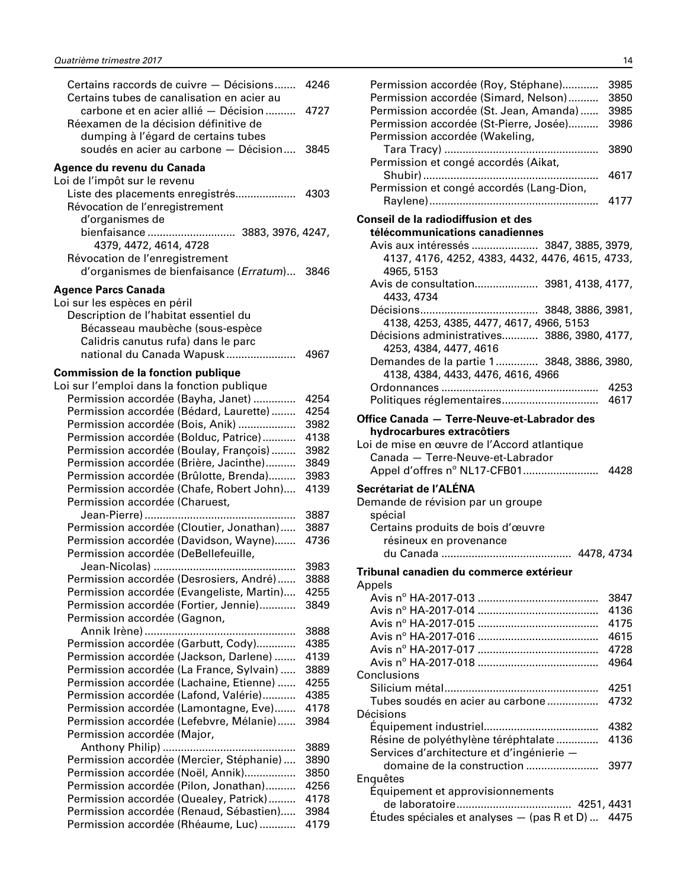| Certains raccords de cuivre - Décisions<br>Certains tubes de canalisation en acier au | 4246         |
|---------------------------------------------------------------------------------------|--------------|
| carbone et en acier allié - Décision<br>Réexamen de la décision définitive de         | 4727         |
| dumping à l'égard de certains tubes                                                   |              |
| soudés en acier au carbone - Décision                                                 | 3845         |
| Agence du revenu du Canada                                                            |              |
| Loi de l'impôt sur le revenu                                                          |              |
| Liste des placements enregistrés                                                      | 4303         |
| Révocation de l'enregistrement                                                        |              |
| d'organismes de                                                                       |              |
| bienfaisance  3883, 3976, 4247,                                                       |              |
| 4379, 4472, 4614, 4728                                                                |              |
| Révocation de l'enregistrement                                                        |              |
| d'organismes de bienfaisance (Erratum) 3846                                           |              |
| <b>Agence Parcs Canada</b>                                                            |              |
| Loi sur les espèces en péril                                                          |              |
| Description de l'habitat essentiel du                                                 |              |
| Bécasseau maubèche (sous-espèce                                                       |              |
| Calidris canutus rufa) dans le parc                                                   |              |
| national du Canada Wapusk                                                             | 4967         |
| <b>Commission de la fonction publique</b>                                             |              |
| Loi sur l'emploi dans la fonction publique                                            |              |
| Permission accordée (Bayha, Janet)                                                    | 4254         |
| Permission accordée (Bédard, Laurette)                                                | 4254         |
| Permission accordée (Bois, Anik)                                                      | 3982         |
| Permission accordée (Bolduc, Patrice)                                                 | 4138         |
| Permission accordée (Boulay, François)                                                | 3982         |
| Permission accordée (Brière, Jacinthe)                                                | 3849         |
| Permission accordée (Brûlotte, Brenda)                                                | 3983         |
| Permission accordée (Chafe, Robert John)                                              | 4139         |
| Permission accordée (Charuest,                                                        |              |
|                                                                                       | 3887         |
| Permission accordée (Cloutier, Jonathan)                                              | 3887         |
| Permission accordée (Davidson, Wayne)                                                 | 4736         |
| Permission accordée (DeBellefeuille,                                                  |              |
|                                                                                       | 3983         |
| Permission accordée (Desrosiers, André)                                               | 3888         |
| Permission accordée (Evangeliste, Martin)<br>Permission accordée (Fortier, Jennie)    | 4255<br>3849 |
| Permission accordée (Gagnon,                                                          |              |
|                                                                                       | 3888         |
| Permission accordée (Garbutt, Cody)                                                   | 4385         |
| Permission accordée (Jackson, Darlene)                                                | 4139         |
| Permission accordée (La France, Sylvain)                                              | 3889         |
| Permission accordée (Lachaine, Etienne)                                               | 4255         |
| Permission accordée (Lafond, Valérie)                                                 | 4385         |
| Permission accordée (Lamontagne, Eve)                                                 | 4178         |
| Permission accordée (Lefebvre, Mélanie)                                               | 3984         |
| Permission accordée (Major,                                                           |              |
|                                                                                       | 3889         |
| Permission accordée (Mercier, Stéphanie)                                              | 3890         |
| Permission accordée (Noël, Annik)                                                     | 3850         |
| Permission accordée (Pilon, Jonathan)                                                 | 4256         |
| Permission accordée (Quealey, Patrick)                                                | 4178         |
| Permission accordée (Renaud, Sébastien)                                               | 3984         |
| Permission accordée (Rhéaume, Luc)                                                    | 4179         |

| Permission accordée (Roy, Stéphane)<br>Permission accordée (Simard, Nelson)<br>Permission accordée (St. Jean, Amanda)<br>Permission accordée (St-Pierre, Josée)<br>Permission accordée (Wakeling,<br>Permission et congé accordés (Aikat,<br>Permission et congé accordés (Lang-Dion, | 3985<br>3850<br>3985<br>3986<br>3890<br>4617<br>4177 |
|---------------------------------------------------------------------------------------------------------------------------------------------------------------------------------------------------------------------------------------------------------------------------------------|------------------------------------------------------|
| Conseil de la radiodiffusion et des                                                                                                                                                                                                                                                   |                                                      |
| télécommunications canadiennes                                                                                                                                                                                                                                                        |                                                      |
| Avis aux intéressés  3847, 3885, 3979,                                                                                                                                                                                                                                                |                                                      |
| 4137, 4176, 4252, 4383, 4432, 4476, 4615, 4733,<br>4965, 5153                                                                                                                                                                                                                         |                                                      |
| Avis de consultation 3981, 4138, 4177,<br>4433, 4734                                                                                                                                                                                                                                  |                                                      |
|                                                                                                                                                                                                                                                                                       |                                                      |
| 4138, 4253, 4385, 4477, 4617, 4966, 5153<br>Décisions administratives 3886, 3980, 4177,<br>4253, 4384, 4477, 4616                                                                                                                                                                     |                                                      |
| Demandes de la partie 1 3848, 3886, 3980,<br>4138, 4384, 4433, 4476, 4616, 4966                                                                                                                                                                                                       |                                                      |
|                                                                                                                                                                                                                                                                                       | 4253                                                 |
|                                                                                                                                                                                                                                                                                       | 4617                                                 |
| hydrocarbures extracôtiers<br>Loi de mise en œuvre de l'Accord atlantique<br>Canada - Terre-Neuve-et-Labrador                                                                                                                                                                         |                                                      |
| Secrétariat de l'ALENA<br>Demande de révision par un groupe<br>spécial                                                                                                                                                                                                                |                                                      |
| Certains produits de bois d'œuvre                                                                                                                                                                                                                                                     |                                                      |
| résineux en provenance                                                                                                                                                                                                                                                                |                                                      |
|                                                                                                                                                                                                                                                                                       |                                                      |
| Tribunal canadien du commerce extérieur                                                                                                                                                                                                                                               |                                                      |
| Appels                                                                                                                                                                                                                                                                                |                                                      |
|                                                                                                                                                                                                                                                                                       | 3847<br>4136                                         |
|                                                                                                                                                                                                                                                                                       | 4175                                                 |
|                                                                                                                                                                                                                                                                                       | 4615                                                 |
|                                                                                                                                                                                                                                                                                       | 4728                                                 |
|                                                                                                                                                                                                                                                                                       | 4964                                                 |
| Conclusions                                                                                                                                                                                                                                                                           |                                                      |
| Tubes soudés en acier au carbone                                                                                                                                                                                                                                                      | 4251<br>4732                                         |
| Décisions                                                                                                                                                                                                                                                                             |                                                      |
|                                                                                                                                                                                                                                                                                       | 4382                                                 |
| Résine de polyéthylène téréphtalate<br>Services d'architecture et d'ingénierie -                                                                                                                                                                                                      | 4136                                                 |
| domaine de la construction                                                                                                                                                                                                                                                            | 3977                                                 |
| Enquêtes                                                                                                                                                                                                                                                                              |                                                      |
| Équipement et approvisionnements                                                                                                                                                                                                                                                      |                                                      |
| Études spéciales et analyses — (pas R et D)  4475                                                                                                                                                                                                                                     |                                                      |
|                                                                                                                                                                                                                                                                                       |                                                      |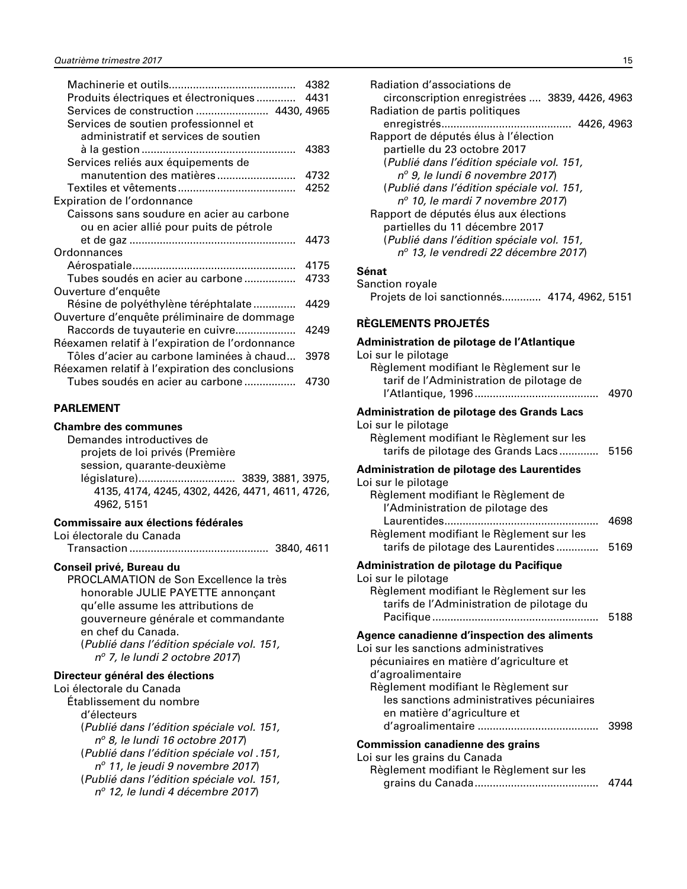<span id="page-16-0"></span>

|                                                 | 4382 |
|-------------------------------------------------|------|
| Produits électriques et électroniques  4431     |      |
| Services de construction  4430, 4965            |      |
| Services de soutien professionnel et            |      |
| administratif et services de soutien            |      |
|                                                 | 4383 |
| Services reliés aux équipements de              |      |
| manutention des matières                        | 4732 |
|                                                 | 4252 |
| Expiration de l'ordonnance                      |      |
| Caissons sans soudure en acier au carbone       |      |
| ou en acier allié pour puits de pétrole         |      |
|                                                 | 4473 |
| Ordonnances                                     |      |
|                                                 | 4175 |
| Tubes soudés en acier au carbone                | 4733 |
| Ouverture d'enquête                             |      |
| Résine de polyéthylène téréphtalate             | 4429 |
| Ouverture d'enquête préliminaire de dommage     |      |
| Raccords de tuyauterie en cuivre                | 4249 |
| Réexamen relatif à l'expiration de l'ordonnance |      |
| Tôles d'acier au carbone laminées à chaud       | 3978 |
| Réexamen relatif à l'expiration des conclusions |      |
| Tubes soudés en acier au carbone                | 4730 |
|                                                 |      |

#### **PARLEMENT**

| Chambre des communes |  |
|----------------------|--|
|----------------------|--|

Demandes introductives de projets de loi privés (Première session, quarante-deuxième législature)................................ 3839, 3881, 3975, 4135, 4174, 4245, 4302, 4426, 4471, 4611, 4726, 4962, 5151

#### **Commissaire aux élections fédérales**

Loi électorale du Canada

Transaction .............................................. 3840, 4611

#### **Conseil privé, Bureau du**

PROCLAMATION de Son Excellence la très honorable JULIE PAYETTE annonçant qu'elle assume les attributions de gouverneure générale et commandante en chef du Canada. (*Publié dans l'édition spéciale vol. 151, no 7, le lundi 2 octobre 2017*)

#### **Directeur général des élections**

Loi électorale du Canada Établissement du nombre d'électeurs (*Publié dans l'édition spéciale vol. 151, no 8, le lundi 16 octobre 2017*) (*Publié dans l'édition spéciale vol .151, no 11, le jeudi 9 novembre 2017*) (*Publié dans l'édition spéciale vol. 151, no 12, le lundi 4 décembre 2017*)

| Radiation d'associations de<br>circonscription enregistrées  3839, 4426, 4963 |
|-------------------------------------------------------------------------------|
| Radiation de partis politiques                                                |
| 4426, 4963                                                                    |
| Rapport de députés élus à l'élection                                          |
| partielle du 23 octobre 2017                                                  |
| (Publié dans l'édition spéciale vol. 151,                                     |
| nº 9, le lundi 6 novembre 2017)                                               |
| (Publié dans l'édition spéciale vol. 151,                                     |
| nº 10, le mardi 7 novembre 2017)                                              |
| Rapport de députés élus aux élections                                         |
| partielles du 11 décembre 2017                                                |
| (Publié dans l'édition spéciale vol. 151,                                     |
| nº 13, le vendredi 22 décembre 2017)                                          |
|                                                                               |

| Sanction royale                             |  |  |
|---------------------------------------------|--|--|
| Projets de loi sanctionnés 4174, 4962, 5151 |  |  |

#### **RÈGLEMENTS PROJETÉS**

| Administration de pilotage de l'Atlantique                                                                                                                                                                                                                               |              |
|--------------------------------------------------------------------------------------------------------------------------------------------------------------------------------------------------------------------------------------------------------------------------|--------------|
| Loi sur le pilotage<br>Règlement modifiant le Règlement sur le<br>tarif de l'Administration de pilotage de                                                                                                                                                               |              |
| <b>Administration de pilotage des Grands Lacs</b><br>Loi sur le pilotage<br>Règlement modifiant le Règlement sur les<br>tarifs de pilotage des Grands Lacs 5156                                                                                                          |              |
| <b>Administration de pilotage des Laurentides</b><br>Loi sur le pilotage<br>Règlement modifiant le Règlement de<br>l'Administration de pilotage des<br>Règlement modifiant le Règlement sur les<br>tarifs de pilotage des Laurentides                                    | 4698<br>5169 |
| Administration de pilotage du Pacifique<br>Loi sur le pilotage<br>Règlement modifiant le Règlement sur les<br>tarifs de l'Administration de pilotage du                                                                                                                  | 5188         |
| Agence canadienne d'inspection des aliments<br>Loi sur les sanctions administratives<br>pécuniaires en matière d'agriculture et<br>d'agroalimentaire<br>Règlement modifiant le Règlement sur<br>les sanctions administratives pécuniaires<br>en matière d'agriculture et | 3998         |
| <b>Commission canadienne des grains</b><br>Loi sur les grains du Canada<br>Règlement modifiant le Règlement sur les                                                                                                                                                      |              |
|                                                                                                                                                                                                                                                                          | 4744         |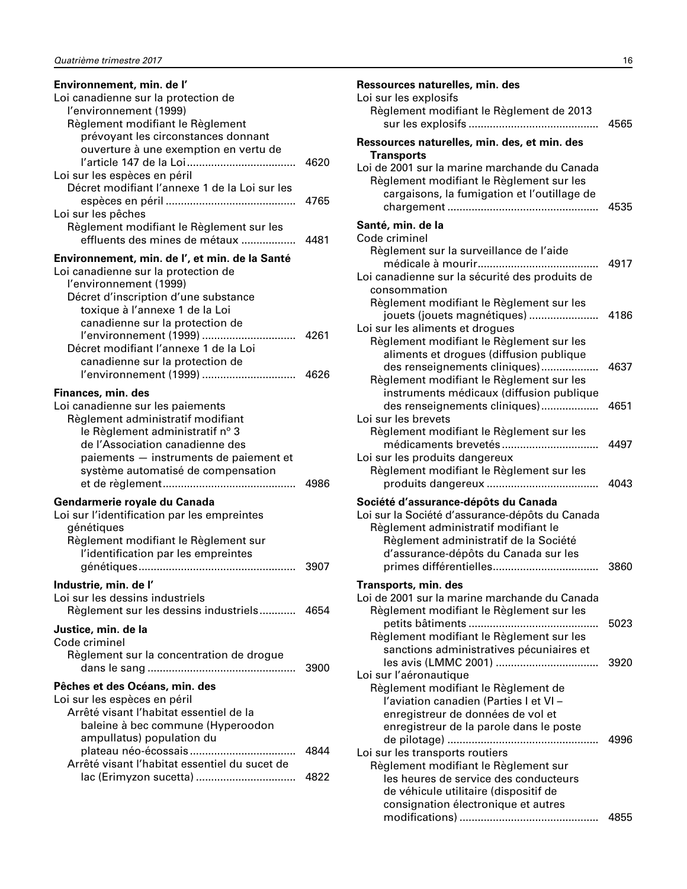| Environnement, min. de l'<br>Loi canadienne sur la protection de<br>l'environnement (1999)                                                                                                                                                        |      |
|---------------------------------------------------------------------------------------------------------------------------------------------------------------------------------------------------------------------------------------------------|------|
| Règlement modifiant le Règlement<br>prévoyant les circonstances donnant                                                                                                                                                                           |      |
| ouverture à une exemption en vertu de<br>Loi sur les espèces en péril                                                                                                                                                                             | 4620 |
| Décret modifiant l'annexe 1 de la Loi sur les                                                                                                                                                                                                     | 4765 |
| Loi sur les pêches<br>Règlement modifiant le Règlement sur les<br>effluents des mines de métaux                                                                                                                                                   | 4481 |
| Environnement, min. de l', et min. de la Santé<br>Loi canadienne sur la protection de<br>l'environnement (1999)<br>Décret d'inscription d'une substance                                                                                           |      |
| toxique à l'annexe 1 de la Loi<br>canadienne sur la protection de<br>l'environnement (1999)<br>Décret modifiant l'annexe 1 de la Loi                                                                                                              | 4261 |
| canadienne sur la protection de<br>l'environnement (1999)                                                                                                                                                                                         | 4626 |
| Finances, min. des<br>Loi canadienne sur les paiements<br>Règlement administratif modifiant<br>le Règlement administratif n° 3<br>de l'Association canadienne des<br>paiements - instruments de paiement et<br>système automatisé de compensation | 4986 |
| Gendarmerie royale du Canada<br>Loi sur l'identification par les empreintes<br>génétiques<br>Règlement modifiant le Règlement sur<br>l'identification par les empreintes                                                                          | 3907 |
| Industrie, min. de l'<br>Loi sur les dessins industriels<br>Règlement sur les dessins industriels                                                                                                                                                 | 4654 |
| Justice, min. de la<br>Code criminel                                                                                                                                                                                                              |      |
| Règlement sur la concentration de drogue                                                                                                                                                                                                          | 3900 |
| Pêches et des Océans, min. des<br>Loi sur les espèces en péril<br>Arrêté visant l'habitat essentiel de la<br>baleine à bec commune (Hyperoodon<br>ampullatus) population du                                                                       |      |
| Arrêté visant l'habitat essentiel du sucet de                                                                                                                                                                                                     | 4844 |
|                                                                                                                                                                                                                                                   | 4822 |

| Ressources naturelles, min. des                                                         |      |
|-----------------------------------------------------------------------------------------|------|
| Loi sur les explosifs                                                                   |      |
| Règlement modifiant le Règlement de 2013                                                |      |
|                                                                                         | 4565 |
| Ressources naturelles, min. des, et min. des                                            |      |
| <b>Transports</b>                                                                       |      |
| Loi de 2001 sur la marine marchande du Canada                                           |      |
| Règlement modifiant le Règlement sur les                                                |      |
| cargaisons, la fumigation et l'outillage de                                             |      |
|                                                                                         | 4535 |
|                                                                                         |      |
| Santé, min. de la<br>Code criminel                                                      |      |
| Règlement sur la surveillance de l'aide                                                 |      |
| médicale à mourir                                                                       | 4917 |
| Loi canadienne sur la sécurité des produits de                                          |      |
| consommation                                                                            |      |
| Règlement modifiant le Règlement sur les                                                |      |
|                                                                                         | 4186 |
| jouets (jouets magnétiques)<br>Loi sur les aliments et drogues                          |      |
| Règlement modifiant le Règlement sur les                                                |      |
| aliments et drogues (diffusion publique                                                 |      |
| des renseignements cliniques)                                                           | 4637 |
| Règlement modifiant le Règlement sur les                                                |      |
| instruments médicaux (diffusion publique                                                |      |
| des renseignements cliniques)                                                           | 4651 |
| Loi sur les brevets                                                                     |      |
| Règlement modifiant le Règlement sur les                                                |      |
|                                                                                         | 4497 |
| Loi sur les produits dangereux                                                          |      |
| Règlement modifiant le Règlement sur les                                                |      |
|                                                                                         | 4043 |
|                                                                                         |      |
| Société d'assurance-dépôts du Canada<br>Loi sur la Société d'assurance-dépôts du Canada |      |
|                                                                                         |      |
| Règlement administratif modifiant le<br>Règlement administratif de la Société           |      |
| d'assurance-dépôts du Canada sur les                                                    |      |
|                                                                                         | 3860 |
|                                                                                         |      |
| Transports, min. des                                                                    |      |
| Loi de 2001 sur la marine marchande du Canada                                           |      |
| Règlement modifiant le Règlement sur les                                                |      |
|                                                                                         | 5023 |
| Règlement modifiant le Règlement sur les                                                |      |
| sanctions administratives pécuniaires et                                                |      |
|                                                                                         | 3920 |
| Loi sur l'aéronautique                                                                  |      |
| Règlement modifiant le Règlement de                                                     |      |
| l'aviation canadien (Parties I et VI-                                                   |      |
| enregistreur de données de vol et                                                       |      |
| enregistreur de la parole dans le poste                                                 |      |
|                                                                                         | 4996 |
| Loi sur les transports routiers                                                         |      |
| Règlement modifiant le Règlement sur                                                    |      |
| les heures de service des conducteurs                                                   |      |
| de véhicule utilitaire (dispositif de                                                   |      |
| consignation électronique et autres                                                     |      |
|                                                                                         | 4855 |